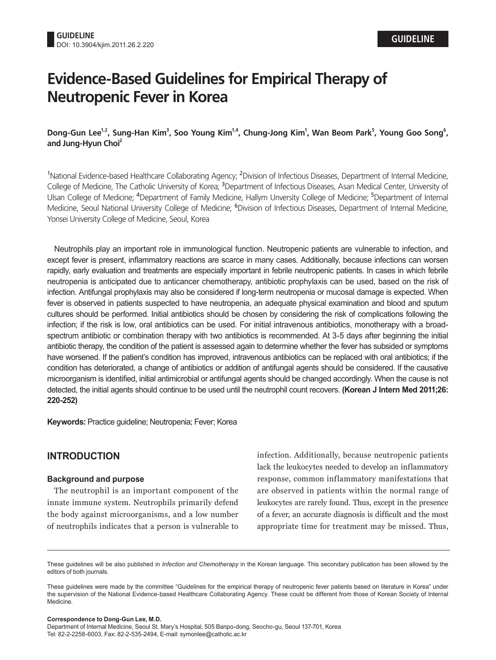# **Evidence-Based Guidelines for Empirical Therapy of Neutropenic Fever in Korea**

**Dong-Gun Lee1,2, Sung-Han Kim<sup>3</sup> , Soo Young Kim1,4, Chung-Jong Kim<sup>1</sup> , Wan Beom Park<sup>5</sup> , Young Goo Song<sup>6</sup> , and Jung-Hyun Choi<sup>2</sup>**

<sup>1</sup>National Evidence-based Healthcare Collaborating Agency; <sup>2</sup>Division of Infectious Diseases, Department of Internal Medicine, College of Medicine, The Catholic University of Korea; <sup>3</sup>Department of Infectious Diseases, Asan Medical Center, University of Ulsan College of Medicine; <sup>4</sup>Department of Family Medicine, Hallym Unversity College of Medicine; <sup>5</sup>Department of Internal Medicine, Seoul National University College of Medicine; <sup>6</sup>Division of Infectious Diseases, Department of Internal Medicine, Yonsei University College of Medicine, Seoul, Korea

Neutrophils play an important role in immunological function. Neutropenic patients are vulnerable to infection, and except fever is present, inflammatory reactions are scarce in many cases. Additionally, because infections can worsen rapidly, early evaluation and treatments are especially important in febrile neutropenic patients. In cases in which febrile neutropenia is anticipated due to anticancer chemotherapy, antibiotic prophylaxis can be used, based on the risk of infection. Antifungal prophylaxis may also be considered if long-term neutropenia or mucosal damage is expected. When fever is observed in patients suspected to have neutropenia, an adequate physical examination and blood and sputum cultures should be performed. Initial antibiotics should be chosen by considering the risk of complications following the infection; if the risk is low, oral antibiotics can be used. For initial intravenous antibiotics, monotherapy with a broadspectrum antibiotic or combination therapy with two antibiotics is recommended. At 3-5 days after beginning the initial antibiotic therapy, the condition of the patient is assessed again to determine whether the fever has subsided or symptoms have worsened. If the patient's condition has improved, intravenous antibiotics can be replaced with oral antibiotics; if the condition has deteriorated, a change of antibiotics or addition of antifungal agents should be considered. If the causative microorganism is identified, initial antimicrobial or antifungal agents should be changed accordingly. When the cause is not detected, the initial agents should continue to be used until the neutrophil count recovers. **(Korean J Intern Med 2011;26: 220-252)**

**Keywords:** Practice guideline; Neutropenia; Fever; Korea

# **INTRODUCTION**

### **Background and purpose**

The neutrophil is an important component of the innate immune system. Neutrophils primarily defend the body against microorganisms, and a low number of neutrophils indicates that a person is vulnerable to

infection. Additionally, because neutropenic patients lack the leukocytes needed to develop an inflammatory response, common inflammatory manifestations that are observed in patients within the normal range of leukocytes are rarely found. Thus, except in the presence of a fever, an accurate diagnosis is difficult and the most appropriate time for treatment may be missed. Thus,

**Correspondence to Dong-Gun Lee, M.D.** Department of Internal Medicine, Seoul St. Mary's Hospital, 505 Banpo-dong, Seocho-gu, Seoul 137-701, Korea Tel: 82-2-2258-6003, Fax: 82-2-535-2494, E-mail: symonlee@catholic.ac.kr

These guidelines will be also published in *Infection and Chemotherapy* in the Korean language. This secondary publication has been allowed by the editors of both journals.

These guidelines were made by the committee "Guidelines for the empirical therapy of neutropenic fever patients based on literature in Korea" under the supervision of the National Evidence-based Healthcare Collaborating Agency. These could be different from those of Korean Society of Internal Medicine.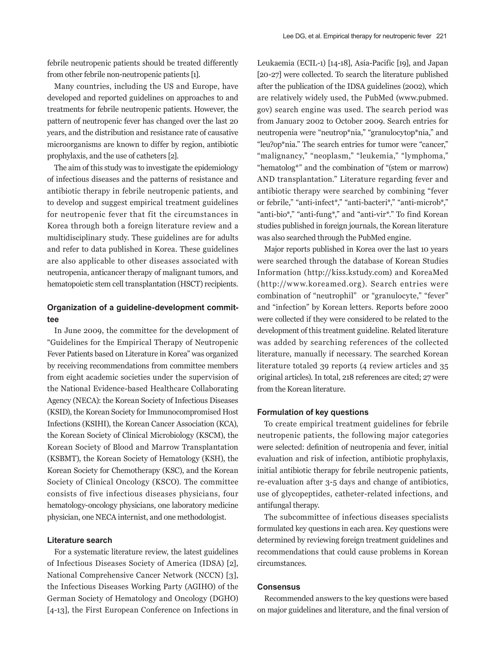febrile neutropenic patients should be treated differently from other febrile non-neutropenic patients [1].

Many countries, including the US and Europe, have developed and reported guidelines on approaches to and treatments for febrile neutropenic patients. However, the pattern of neutropenic fever has changed over the last 20 years, and the distribution and resistance rate of causative microorganisms are known to differ by region, antibiotic prophylaxis, and the use of catheters [2].

The aim of this study was to investigate the epidemiology of infectious diseases and the patterns of resistance and antibiotic therapy in febrile neutropenic patients, and to develop and suggest empirical treatment guidelines for neutropenic fever that fit the circumstances in Korea through both a foreign literature review and a multidisciplinary study. These guidelines are for adults and refer to data published in Korea. These guidelines are also applicable to other diseases associated with neutropenia, anticancer therapy of malignant tumors, and hematopoietic stem cell transplantation (HSCT) recipients.

### **Organization of a guideline-development committee**

In June 2009, the committee for the development of "Guidelines for the Empirical Therapy of Neutropenic Fever Patients based on Literature in Korea" was organized by receiving recommendations from committee members from eight academic societies under the supervision of the National Evidence-based Healthcare Collaborating Agency (NECA): the Korean Society of Infectious Diseases (KSID), the Korean Society for Immunocompromised Host Infections (KSIHI), the Korean Cancer Association (KCA), the Korean Society of Clinical Microbiology (KSCM), the Korean Society of Blood and Marrow Transplantation (KSBMT), the Korean Society of Hematology (KSH), the Korean Society for Chemotherapy (KSC), and the Korean Society of Clinical Oncology (KSCO). The committee consists of five infectious diseases physicians, four hematology-oncology physicians, one laboratory medicine physician, one NECA internist, and one methodologist.

#### **Literature search**

For a systematic literature review, the latest guidelines of Infectious Diseases Society of America (IDSA) [2], National Comprehensive Cancer Network (NCCN) [3], the Infectious Diseases Working Party (AGIHO) of the German Society of Hematology and Oncology (DGHO) [4-13], the First European Conference on Infections in

Leukaemia (ECIL-1) [14-18], Asia-Pacific [19], and Japan [20-27] were collected. To search the literature published after the publication of the IDSA guidelines (2002), which are relatively widely used, the PubMed (www.pubmed. gov) search engine was used. The search period was from January 2002 to October 2009. Search entries for neutropenia were "neutrop\*nia," "granulocytop\*nia," and "leu?op\*nia." The search entries for tumor were "cancer," "malignancy," "neoplasm," "leukemia," "lymphoma," "hematolog\*" and the combination of "(stem or marrow) AND transplantation." Literature regarding fever and antibiotic therapy were searched by combining "fever or febrile," "anti-infect\*," "anti-bacteri\*," "anti-microb\*," "anti-bio\*," "anti-fung\*," and "anti-vir\*." To find Korean studies published in foreign journals, the Korean literature was also searched through the PubMed engine.

Major reports published in Korea over the last 10 years were searched through the database of Korean Studies Information (http://kiss.kstudy.com) and KoreaMed (http://www.koreamed.org). Search entries were combination of "neutrophil" or "granulocyte," "fever" and "infection" by Korean letters. Reports before 2000 were collected if they were considered to be related to the development of this treatment guideline. Related literature was added by searching references of the collected literature, manually if necessary. The searched Korean literature totaled 39 reports (4 review articles and 35 original articles). In total, 218 references are cited; 27 were from the Korean literature.

### **Formulation of key questions**

To create empirical treatment guidelines for febrile neutropenic patients, the following major categories were selected: definition of neutropenia and fever, initial evaluation and risk of infection, antibiotic prophylaxis, initial antibiotic therapy for febrile neutropenic patients, re-evaluation after 3-5 days and change of antibiotics, use of glycopeptides, catheter-related infections, and antifungal therapy.

The subcommittee of infectious diseases specialists formulated key questions in each area. Key questions were determined by reviewing foreign treatment guidelines and recommendations that could cause problems in Korean circumstances.

#### **Consensus**

Recommended answers to the key questions were based on major guidelines and literature, and the final version of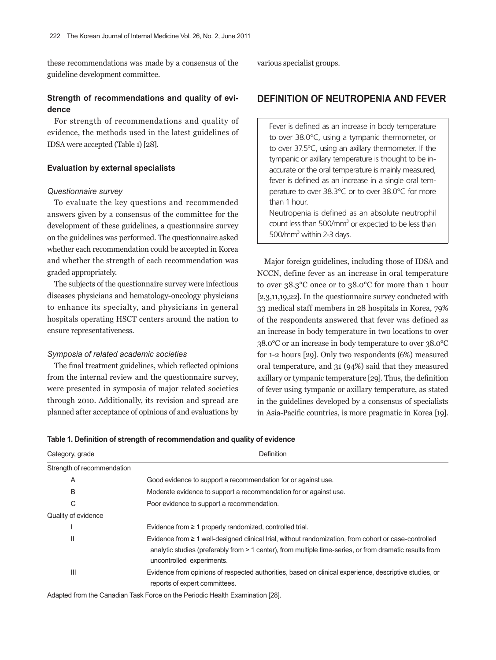these recommendations was made by a consensus of the guideline development committee.

## **Strength of recommendations and quality of evidence**

For strength of recommendations and quality of evidence, the methods used in the latest guidelines of IDSA were accepted (Table 1) [28].

### **Evaluation by external specialists**

#### *Questionnaire survey*

To evaluate the key questions and recommended answers given by a consensus of the committee for the development of these guidelines, a questionnaire survey on the guidelines was performed. The questionnaire asked whether each recommendation could be accepted in Korea and whether the strength of each recommendation was graded appropriately.

The subjects of the questionnaire survey were infectious diseases physicians and hematology-oncology physicians to enhance its specialty, and physicians in general hospitals operating HSCT centers around the nation to ensure representativeness.

#### *Symposia of related academic societies*

The final treatment guidelines, which reflected opinions from the internal review and the questionnaire survey, were presented in symposia of major related societies through 2010. Additionally, its revision and spread are planned after acceptance of opinions of and evaluations by various specialist groups.

# **DEFINITION OF NEUTROPENIA AND FEVER**

Fever is defined as an increase in body temperature to over 38.0°C, using a tympanic thermometer, or to over 37.5°C, using an axillary thermometer. If the tympanic or axillary temperature is thought to be inaccurate or the oral temperature is mainly measured, fever is defined as an increase in a single oral temperature to over 38.3°C or to over 38.0°C for more than 1 hour. Neutropenia is defined as an absolute neutrophil

count less than  $500/\text{mm}^3$  or expected to be less than 500/mm<sup>3</sup> within 2-3 days.

Major foreign guidelines, including those of IDSA and NCCN, define fever as an increase in oral temperature to over 38.3°C once or to 38.0°C for more than 1 hour [2,3,11,19,22]. In the questionnaire survey conducted with 33 medical staff members in 28 hospitals in Korea, 79% of the respondents answered that fever was defined as an increase in body temperature in two locations to over 38.0°C or an increase in body temperature to over 38.0°C for 1-2 hours [29]. Only two respondents (6%) measured oral temperature, and 31 (94%) said that they measured axillary or tympanic temperature [29]. Thus, the definition of fever using tympanic or axillary temperature, as stated in the guidelines developed by a consensus of specialists in Asia-Pacific countries, is more pragmatic in Korea [19].

| Category, grade            | Definition                                                                                                                                                                                                                                         |  |  |
|----------------------------|----------------------------------------------------------------------------------------------------------------------------------------------------------------------------------------------------------------------------------------------------|--|--|
| Strength of recommendation |                                                                                                                                                                                                                                                    |  |  |
| Α                          | Good evidence to support a recommendation for or against use.                                                                                                                                                                                      |  |  |
| B                          | Moderate evidence to support a recommendation for or against use.                                                                                                                                                                                  |  |  |
| С                          | Poor evidence to support a recommendation.                                                                                                                                                                                                         |  |  |
| Quality of evidence        |                                                                                                                                                                                                                                                    |  |  |
|                            | Evidence from $\geq 1$ properly randomized, controlled trial.                                                                                                                                                                                      |  |  |
| Ш                          | Evidence from $\geq 1$ well-designed clinical trial, without randomization, from cohort or case-controlled<br>analytic studies (preferably from > 1 center), from multiple time-series, or from dramatic results from<br>uncontrolled experiments. |  |  |
| Ш                          | Evidence from opinions of respected authorities, based on clinical experience, descriptive studies, or<br>reports of expert committees.                                                                                                            |  |  |

**Table 1. Definition of strength of recommendation and quality of evidence**

Adapted from the Canadian Task Force on the Periodic Health Examination [28].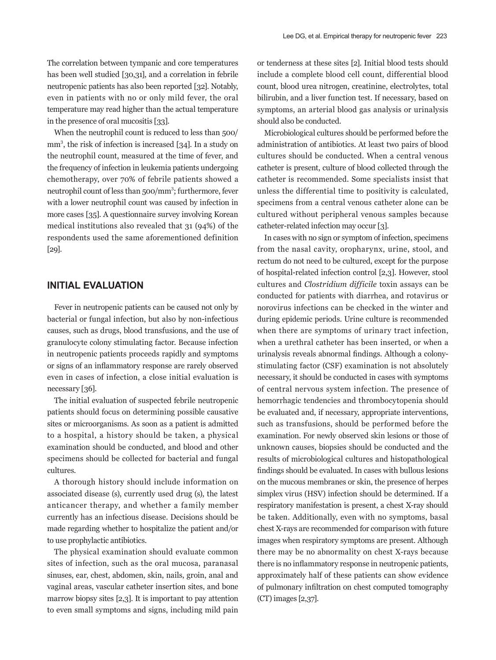The correlation between tympanic and core temperatures has been well studied [30,31], and a correlation in febrile neutropenic patients has also been reported [32]. Notably, even in patients with no or only mild fever, the oral temperature may read higher than the actual temperature in the presence of oral mucositis [33].

When the neutrophil count is reduced to less than 500/ mm3 , the risk of infection is increased [34]. In a study on the neutrophil count, measured at the time of fever, and the frequency of infection in leukemia patients undergoing chemotherapy, over 70% of febrile patients showed a neutrophil count of less than 500/mm<sup>3</sup>; furthermore, fever with a lower neutrophil count was caused by infection in more cases [35]. A questionnaire survey involving Korean medical institutions also revealed that 31 (94%) of the respondents used the same aforementioned definition [29].

# **INITIAL EVALUATION**

Fever in neutropenic patients can be caused not only by bacterial or fungal infection, but also by non-infectious causes, such as drugs, blood transfusions, and the use of granulocyte colony stimulating factor. Because infection in neutropenic patients proceeds rapidly and symptoms or signs of an inflammatory response are rarely observed even in cases of infection, a close initial evaluation is necessary [36].

The initial evaluation of suspected febrile neutropenic patients should focus on determining possible causative sites or microorganisms. As soon as a patient is admitted to a hospital, a history should be taken, a physical examination should be conducted, and blood and other specimens should be collected for bacterial and fungal cultures.

A thorough history should include information on associated disease (s), currently used drug (s), the latest anticancer therapy, and whether a family member currently has an infectious disease. Decisions should be made regarding whether to hospitalize the patient and/or to use prophylactic antibiotics.

The physical examination should evaluate common sites of infection, such as the oral mucosa, paranasal sinuses, ear, chest, abdomen, skin, nails, groin, anal and vaginal areas, vascular catheter insertion sites, and bone marrow biopsy sites [2,3]. It is important to pay attention to even small symptoms and signs, including mild pain

or tenderness at these sites [2]. Initial blood tests should include a complete blood cell count, differential blood count, blood urea nitrogen, creatinine, electrolytes, total bilirubin, and a liver function test. If necessary, based on symptoms, an arterial blood gas analysis or urinalysis should also be conducted.

Microbiological cultures should be performed before the administration of antibiotics. At least two pairs of blood cultures should be conducted. When a central venous catheter is present, culture of blood collected through the catheter is recommended. Some specialists insist that unless the differential time to positivity is calculated, specimens from a central venous catheter alone can be cultured without peripheral venous samples because catheter-related infection may occur [3].

In cases with no sign or symptom of infection, specimens from the nasal cavity, oropharynx, urine, stool, and rectum do not need to be cultured, except for the purpose of hospital-related infection control [2,3]. However, stool cultures and *Clostridium difficile* toxin assays can be conducted for patients with diarrhea, and rotavirus or norovirus infections can be checked in the winter and during epidemic periods. Urine culture is recommended when there are symptoms of urinary tract infection, when a urethral catheter has been inserted, or when a urinalysis reveals abnormal findings. Although a colonystimulating factor (CSF) examination is not absolutely necessary, it should be conducted in cases with symptoms of central nervous system infection. The presence of hemorrhagic tendencies and thrombocytopenia should be evaluated and, if necessary, appropriate interventions, such as transfusions, should be performed before the examination. For newly observed skin lesions or those of unknown causes, biopsies should be conducted and the results of microbiological cultures and histopathological findings should be evaluated. In cases with bullous lesions on the mucous membranes or skin, the presence of herpes simplex virus (HSV) infection should be determined. If a respiratory manifestation is present, a chest X-ray should be taken. Additionally, even with no symptoms, basal chest X-rays are recommended for comparison with future images when respiratory symptoms are present. Although there may be no abnormality on chest X-rays because there is no inflammatory response in neutropenic patients, approximately half of these patients can show evidence of pulmonary infiltration on chest computed tomography (CT) images [2,37].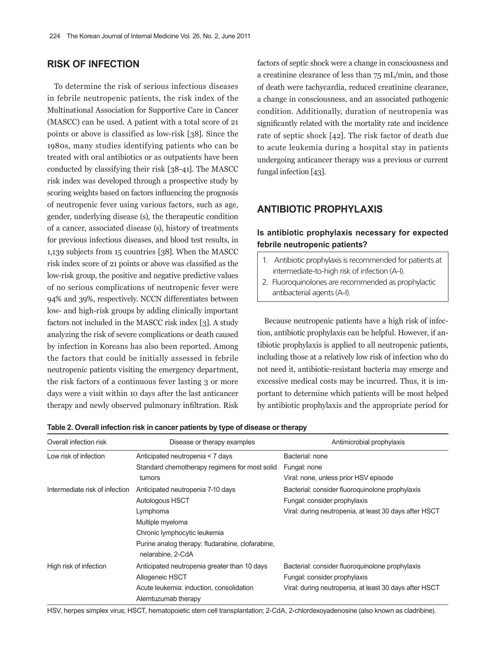# **RISK OF INFECTION**

To determine the risk of serious infectious diseases in febrile neutropenic patients, the risk index of the Multinational Association for Supportive Care in Cancer (MASCC) can be used. A patient with a total score of 21 points or above is classified as low-risk [38]. Since the 1980s, many studies identifying patients who can be treated with oral antibiotics or as outpatients have been conducted by classifying their risk [38-41]. The MASCC risk index was developed through a prospective study by scoring weights based on factors influencing the prognosis of neutropenic fever using various factors, such as age, gender, underlying disease (s), the therapeutic condition of a cancer, associated disease (s), history of treatments for previous infectious diseases, and blood test results, in 1,139 subjects from 15 countries [38]. When the MASCC risk index score of 21 points or above was classified as the low-risk group, the positive and negative predictive values of no serious complications of neutropenic fever were 94% and 39%, respectively. NCCN differentiates between low- and high-risk groups by adding clinically important factors not included in the MASCC risk index [3]. A study analyzing the risk of severe complications or death caused by infection in Koreans has also been reported. Among the factors that could be initially assessed in febrile neutropenic patients visiting the emergency department, the risk factors of a continuous fever lasting 3 or more days were a visit within 10 days after the last anticancer therapy and newly observed pulmonary infiltration. Risk

factors of septic shock were a change in consciousness and a creatinine clearance of less than 75 mL/min, and those of death were tachycardia, reduced creatinine clearance, a change in consciousness, and an associated pathogenic condition. Additionally, duration of neutropenia was significantly related with the mortality rate and incidence rate of septic shock [42]. The risk factor of death due to acute leukemia during a hospital stay in patients undergoing anticancer therapy was a previous or current fungal infection [43].

## **ANTIBIOTIC PROPHYLAXIS**

### **Is antibiotic prophylaxis necessary for expected febrile neutropenic patients?**

- 1. Antibiotic prophylaxis is recommended for patients at intermediate-to-high risk of infection (A-I).
- 2. Fluoroquinolones are recommended as prophylactic antibacterial agents (A-I).

Because neutropenic patients have a high risk of infection, antibiotic prophylaxis can be helpful. However, if antibiotic prophylaxis is applied to all neutropenic patients, including those at a relatively low risk of infection who do not need it, antibiotic-resistant bacteria may emerge and excessive medical costs may be incurred. Thus, it is important to determine which patients will be most helped by antibiotic prophylaxis and the appropriate period for

**Table 2. Overall infection risk in cancer patients by type of disease or therapy**

| Overall infection risk         | Disease or therapy examples                                           | Antimicrobial prophylaxis                              |
|--------------------------------|-----------------------------------------------------------------------|--------------------------------------------------------|
| Low risk of infection          | Anticipated neutropenia < 7 days                                      | Bacterial: none                                        |
|                                | Standard chemotherapy regimens for most solid                         | Fungal: none                                           |
|                                | tumors                                                                | Viral: none, unless prior HSV episode                  |
| Intermediate risk of infection | Anticipated neutropenia 7-10 days                                     | Bacterial: consider fluoroquinolone prophylaxis        |
|                                | Autologous HSCT                                                       | Fungal: consider prophylaxis                           |
|                                | Lymphoma                                                              | Viral: during neutropenia, at least 30 days after HSCT |
|                                | Multiple myeloma                                                      |                                                        |
|                                | Chronic lymphocytic leukemia                                          |                                                        |
|                                | Purine analog therapy: fludarabine, clofarabine,<br>nelarabine, 2-CdA |                                                        |
| High risk of infection         | Anticipated neutropenia greater than 10 days                          | Bacterial: consider fluoroquinolone prophylaxis        |
|                                | Allogeneic HSCT                                                       | Fungal: consider prophylaxis                           |
|                                | Acute leukemia: induction, consolidation                              | Viral: during neutropenia, at least 30 days after HSCT |
|                                | Alemtuzumab therapy                                                   |                                                        |

HSV, herpes simplex virus; HSCT, hematopoietic stem cell transplantation; 2-CdA, 2-chlordexoyadenosine (also known as cladribine).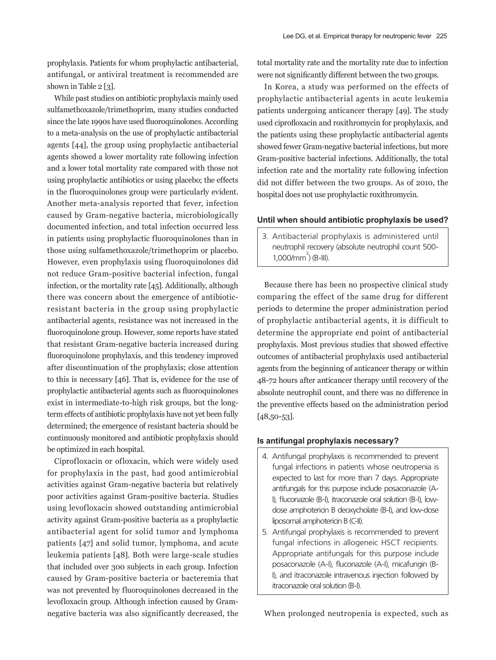prophylaxis. Patients for whom prophylactic antibacterial, antifungal, or antiviral treatment is recommended are shown in Table 2 [3].

While past studies on antibiotic prophylaxis mainly used sulfamethoxazole/trimethoprim, many studies conducted since the late 1990s have used fluoroquinolones. According to a meta-analysis on the use of prophylactic antibacterial agents [44], the group using prophylactic antibacterial agents showed a lower mortality rate following infection and a lower total mortality rate compared with those not using prophylactic antibiotics or using placebo; the effects in the fluoroquinolones group were particularly evident. Another meta-analysis reported that fever, infection caused by Gram-negative bacteria, microbiologically documented infection, and total infection occurred less in patients using prophylactic fluoroquinolones than in those using sulfamethoxazole/trimethoprim or placebo. However, even prophylaxis using fluoroquinolones did not reduce Gram-positive bacterial infection, fungal infection, or the mortality rate [45]. Additionally, although there was concern about the emergence of antibioticresistant bacteria in the group using prophylactic antibacterial agents, resistance was not increased in the fluoroquinolone group. However, some reports have stated that resistant Gram-negative bacteria increased during fluoroquinolone prophylaxis, and this tendency improved after discontinuation of the prophylaxis; close attention to this is necessary [46]. That is, evidence for the use of prophylactic antibacterial agents such as fluoroquinolones exist in intermediate-to-high risk groups, but the longterm effects of antibiotic prophylaxis have not yet been fully determined; the emergence of resistant bacteria should be continuously monitored and antibiotic prophylaxis should be optimized in each hospital.

Ciprofloxacin or ofloxacin, which were widely used for prophylaxis in the past, had good antimicrobial activities against Gram-negative bacteria but relatively poor activities against Gram-positive bacteria. Studies using levofloxacin showed outstanding antimicrobial activity against Gram-positive bacteria as a prophylactic antibacterial agent for solid tumor and lymphoma patients [47] and solid tumor, lymphoma, and acute leukemia patients [48]. Both were large-scale studies that included over 300 subjects in each group. Infection caused by Gram-positive bacteria or bacteremia that was not prevented by fluoroquinolones decreased in the levofloxacin group. Although infection caused by Gramnegative bacteria was also significantly decreased, the

total mortality rate and the mortality rate due to infection were not significantly different between the two groups.

In Korea, a study was performed on the effects of prophylactic antibacterial agents in acute leukemia patients undergoing anticancer therapy [49]. The study used ciprofloxacin and roxithromycin for prophylaxis, and the patients using these prophylactic antibacterial agents showed fewer Gram-negative bacterial infections, but more Gram-positive bacterial infections. Additionally, the total infection rate and the mortality rate following infection did not differ between the two groups. As of 2010, the hospital does not use prophylactic roxithromycin.

### **Until when should antibiotic prophylaxis be used?**

3. Antibacterial prophylaxis is administered until neutrophil recovery (absolute neutrophil count 500-  $1,000/mm^3$  (B-III).

Because there has been no prospective clinical study comparing the effect of the same drug for different periods to determine the proper administration period of prophylactic antibacterial agents, it is difficult to determine the appropriate end point of antibacterial prophylaxis. Most previous studies that showed effective outcomes of antibacterial prophylaxis used antibacterial agents from the beginning of anticancer therapy or within 48-72 hours after anticancer therapy until recovery of the absolute neutrophil count, and there was no difference in the preventive effects based on the administration period [48,50-53].

### **Is antifungal prophylaxis necessary?**

- 4. Antifungal prophylaxis is recommended to prevent fungal infections in patients whose neutropenia is expected to last for more than 7 days. Appropriate antifungals for this purpose include posaconazole (A-I), fluconazole (B-I), itraconazole oral solution (B-I), lowdose amphotericin B deoxycholate (B-I), and low-dose liposomal amphotericin B (C-II).
- 5. Antifungal prophylaxis is recommended to prevent fungal infections in allogeneic HSCT recipients. Appropriate antifungals for this purpose include posaconazole (A-I), fluconazole (A-I), micafungin (B-I), and itraconazole intravenous injection followed by itraconazole oral solution (B-I).

When prolonged neutropenia is expected, such as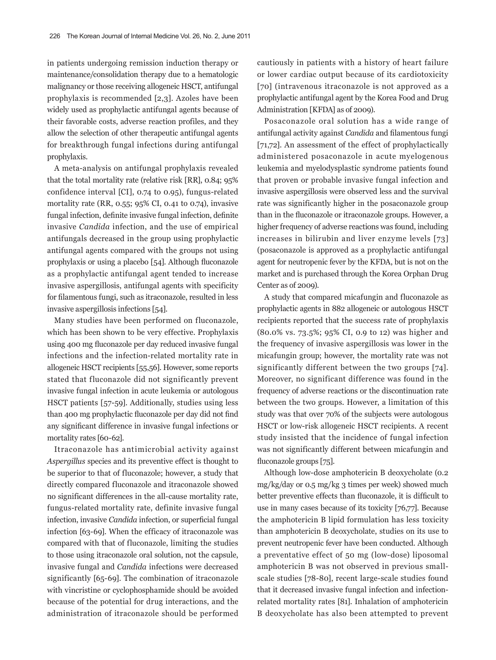in patients undergoing remission induction therapy or maintenance/consolidation therapy due to a hematologic malignancy or those receiving allogeneic HSCT, antifungal prophylaxis is recommended [2,3]. Azoles have been widely used as prophylactic antifungal agents because of their favorable costs, adverse reaction profiles, and they allow the selection of other therapeutic antifungal agents for breakthrough fungal infections during antifungal prophylaxis.

A meta-analysis on antifungal prophylaxis revealed that the total mortality rate (relative risk [RR], 0.84; 95% confidence interval [CI], 0.74 to 0.95), fungus-related mortality rate (RR, 0.55; 95% CI, 0.41 to 0.74), invasive fungal infection, definite invasive fungal infection, definite invasive *Candida* infection, and the use of empirical antifungals decreased in the group using prophylactic antifungal agents compared with the groups not using prophylaxis or using a placebo [54]. Although fluconazole as a prophylactic antifungal agent tended to increase invasive aspergillosis, antifungal agents with specificity for filamentous fungi, such as itraconazole, resulted in less invasive aspergillosis infections [54].

Many studies have been performed on fluconazole, which has been shown to be very effective. Prophylaxis using 400 mg fluconazole per day reduced invasive fungal infections and the infection-related mortality rate in allogeneic HSCT recipients [55,56]. However, some reports stated that fluconazole did not significantly prevent invasive fungal infection in acute leukemia or autologous HSCT patients [57-59]. Additionally, studies using less than 400 mg prophylactic fluconazole per day did not find any significant difference in invasive fungal infections or mortality rates [60-62].

Itraconazole has antimicrobial activity against *Aspergillus* species and its preventive effect is thought to be superior to that of fluconazole; however, a study that directly compared fluconazole and itraconazole showed no significant differences in the all-cause mortality rate, fungus-related mortality rate, definite invasive fungal infection, invasive *Candida* infection, or superficial fungal infection [63-69]. When the efficacy of itraconazole was compared with that of fluconazole, limiting the studies to those using itraconazole oral solution, not the capsule, invasive fungal and *Candida* infections were decreased significantly [65-69]. The combination of itraconazole with vincristine or cyclophosphamide should be avoided because of the potential for drug interactions, and the administration of itraconazole should be performed

cautiously in patients with a history of heart failure or lower cardiac output because of its cardiotoxicity [70] (intravenous itraconazole is not approved as a prophylactic antifungal agent by the Korea Food and Drug Administration [KFDA] as of 2009).

Posaconazole oral solution has a wide range of antifungal activity against *Candida* and filamentous fungi [71,72]. An assessment of the effect of prophylactically administered posaconazole in acute myelogenous leukemia and myelodysplastic syndrome patients found that proven or probable invasive fungal infection and invasive aspergillosis were observed less and the survival rate was significantly higher in the posaconazole group than in the fluconazole or itraconazole groups. However, a higher frequency of adverse reactions was found, including increases in bilirubin and liver enzyme levels [73] (posaconazole is approved as a prophylactic antifungal agent for neutropenic fever by the KFDA, but is not on the market and is purchased through the Korea Orphan Drug Center as of 2009).

A study that compared micafungin and fluconazole as prophylactic agents in 882 allogeneic or autologous HSCT recipients reported that the success rate of prophylaxis (80.0% vs. 73.5%; 95% CI, 0.9 to 12) was higher and the frequency of invasive aspergillosis was lower in the micafungin group; however, the mortality rate was not significantly different between the two groups [74]. Moreover, no significant difference was found in the frequency of adverse reactions or the discontinuation rate between the two groups. However, a limitation of this study was that over 70% of the subjects were autologous HSCT or low-risk allogeneic HSCT recipients. A recent study insisted that the incidence of fungal infection was not significantly different between micafungin and fluconazole groups [75].

Although low-dose amphotericin B deoxycholate (0.2 mg/kg/day or 0.5 mg/kg 3 times per week) showed much better preventive effects than fluconazole, it is difficult to use in many cases because of its toxicity [76,77]. Because the amphotericin B lipid formulation has less toxicity than amphotericin B deoxycholate, studies on its use to prevent neutropenic fever have been conducted. Although a preventative effect of 50 mg (low-dose) liposomal amphotericin B was not observed in previous smallscale studies [78-80], recent large-scale studies found that it decreased invasive fungal infection and infectionrelated mortality rates [81]. Inhalation of amphotericin B deoxycholate has also been attempted to prevent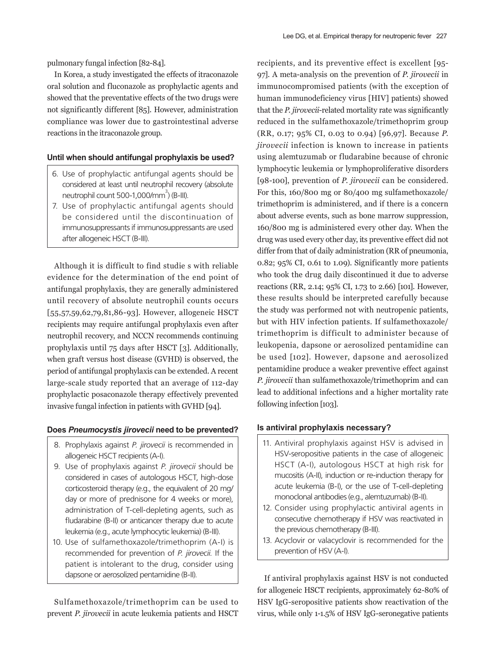pulmonary fungal infection [82-84].

In Korea, a study investigated the effects of itraconazole oral solution and fluconazole as prophylactic agents and showed that the preventative effects of the two drugs were not significantly different [85]. However, administration compliance was lower due to gastrointestinal adverse reactions in the itraconazole group.

### **Until when should antifungal prophylaxis be used?**

- 6. Use of prophylactic antifungal agents should be considered at least until neutrophil recovery (absolute neutrophil count 500-1,000/ $mm^3$ ) (B-III).
- 7. Use of prophylactic antifungal agents should be considered until the discontinuation of immunosuppressants if immunosuppressants are used after allogeneic HSCT (B-III).

Although it is difficult to find studie s with reliable evidence for the determination of the end point of antifungal prophylaxis, they are generally administered until recovery of absolute neutrophil counts occurs [55,57,59,62,79,81,86-93]. However, allogeneic HSCT recipients may require antifungal prophylaxis even after neutrophil recovery, and NCCN recommends continuing prophylaxis until 75 days after HSCT [3]. Additionally, when graft versus host disease (GVHD) is observed, the period of antifungal prophylaxis can be extended. A recent large-scale study reported that an average of 112-day prophylactic posaconazole therapy effectively prevented invasive fungal infection in patients with GVHD [94].

#### **Does** *Pneumocystis jirovecii* **need to be prevented?**

- 8. Prophylaxis against *P. jirovecii* is recommended in allogeneic HSCT recipients (A-I).
- 9. Use of prophylaxis against *P. jirovecii* should be considered in cases of autologous HSCT, high-dose corticosteroid therapy (e.g., the equivalent of 20 mg/ day or more of prednisone for 4 weeks or more), administration of T-cell-depleting agents, such as fludarabine (B-II) or anticancer therapy due to acute leukemia (e.g., acute lymphocytic leukemia) (B-III).
- 10. Use of sulfamethoxazole/trimethoprim (A-I) is recommended for prevention of *P. jirovecii.* If the patient is intolerant to the drug, consider using dapsone or aerosolized pentamidine (B-II).

Sulfamethoxazole/trimethoprim can be used to prevent *P. jirovecii* in acute leukemia patients and HSCT

recipients, and its preventive effect is excellent [95- 97]. A meta-analysis on the prevention of *P. jirovecii* in immunocompromised patients (with the exception of human immunodeficiency virus [HIV] patients) showed that the *P. jirovecii*-related mortality rate was significantly reduced in the sulfamethoxazole/trimethoprim group (RR, 0.17; 95% CI, 0.03 to 0.94) [96,97]. Because *P. jirovecii* infection is known to increase in patients using alemtuzumab or fludarabine because of chronic lymphocytic leukemia or lymphoproliferative disorders [98-100], prevention of *P. jirovecii* can be considered. For this, 160/800 mg or 80/400 mg sulfamethoxazole/ trimethoprim is administered, and if there is a concern about adverse events, such as bone marrow suppression, 160/800 mg is administered every other day. When the drug was used every other day, its preventive effect did not differ from that of daily administration (RR of pneumonia, 0.82; 95% CI, 0.61 to 1.09). Significantly more patients who took the drug daily discontinued it due to adverse reactions (RR, 2.14; 95% CI, 1.73 to 2.66) [101]. However, these results should be interpreted carefully because the study was performed not with neutropenic patients, but with HIV infection patients. If sulfamethoxazole/ trimethoprim is difficult to administer because of leukopenia, dapsone or aerosolized pentamidine can be used [102]. However, dapsone and aerosolized pentamidine produce a weaker preventive effect against *P. jirovecii* than sulfamethoxazole/trimethoprim and can lead to additional infections and a higher mortality rate following infection [103].

### **Is antiviral prophylaxis necessary?**

- 11. Antiviral prophylaxis against HSV is advised in HSV-seropositive patients in the case of allogeneic HSCT (A-I), autologous HSCT at high risk for mucositis (A-II), induction or re-induction therapy for acute leukemia (B-I), or the use of T-cell-depleting monoclonal antibodies (e.g., alemtuzumab) (B-II).
- 12. Consider using prophylactic antiviral agents in consecutive chemotherapy if HSV was reactivated in the previous chemotherapy (B-III).
- 13. Acyclovir or valacyclovir is recommended for the prevention of HSV (A-I).

If antiviral prophylaxis against HSV is not conducted for allogeneic HSCT recipients, approximately 62-80% of HSV IgG-seropositive patients show reactivation of the virus, while only 1-1.5% of HSV IgG-seronegative patients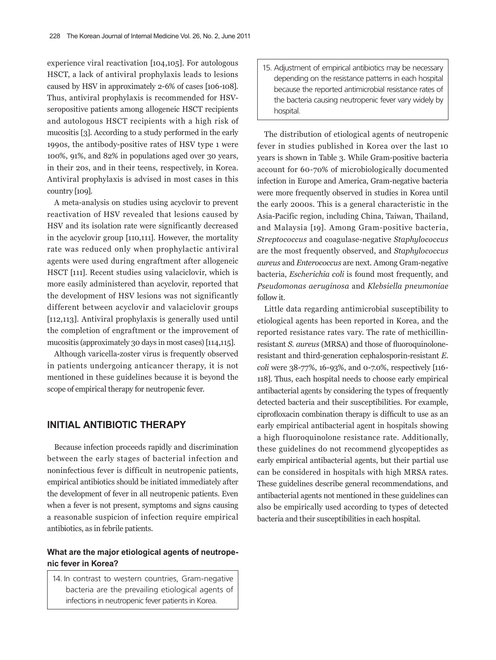experience viral reactivation [104,105]. For autologous HSCT, a lack of antiviral prophylaxis leads to lesions caused by HSV in approximately 2-6% of cases [106-108]. Thus, antiviral prophylaxis is recommended for HSVseropositive patients among allogeneic HSCT recipients and autologous HSCT recipients with a high risk of mucositis [3]. According to a study performed in the early 1990s, the antibody-positive rates of HSV type 1 were 100%, 91%, and 82% in populations aged over 30 years, in their 20s, and in their teens, respectively, in Korea. Antiviral prophylaxis is advised in most cases in this country [109].

A meta-analysis on studies using acyclovir to prevent reactivation of HSV revealed that lesions caused by HSV and its isolation rate were significantly decreased in the acyclovir group [110,111]. However, the mortality rate was reduced only when prophylactic antiviral agents were used during engraftment after allogeneic HSCT [111]. Recent studies using valaciclovir, which is more easily administered than acyclovir, reported that the development of HSV lesions was not significantly different between acyclovir and valaciclovir groups [112,113]. Antiviral prophylaxis is generally used until the completion of engraftment or the improvement of mucositis (approximately 30 days in most cases) [114,115].

Although varicella-zoster virus is frequently observed in patients undergoing anticancer therapy, it is not mentioned in these guidelines because it is beyond the scope of empirical therapy for neutropenic fever.

### **INITIAL ANTIBIOTIC THERAPY**

Because infection proceeds rapidly and discrimination between the early stages of bacterial infection and noninfectious fever is difficult in neutropenic patients, empirical antibiotics should be initiated immediately after the development of fever in all neutropenic patients. Even when a fever is not present, symptoms and signs causing a reasonable suspicion of infection require empirical antibiotics, as in febrile patients.

### **What are the major etiological agents of neutropenic fever in Korea?**

14. In contrast to western countries, Gram-negative bacteria are the prevailing etiological agents of infections in neutropenic fever patients in Korea.

15. Adjustment of empirical antibiotics may be necessary depending on the resistance patterns in each hospital because the reported antimicrobial resistance rates of the bacteria causing neutropenic fever vary widely by hospital.

The distribution of etiological agents of neutropenic fever in studies published in Korea over the last 10 years is shown in Table 3. While Gram-positive bacteria account for 60-70% of microbiologically documented infection in Europe and America, Gram-negative bacteria were more frequently observed in studies in Korea until the early 2000s. This is a general characteristic in the Asia-Pacific region, including China, Taiwan, Thailand, and Malaysia [19]. Among Gram-positive bacteria, *Streptococcus* and coagulase-negative *Staphylococcus* are the most frequently observed, and *Staphylococcus aureus* and *Enterococcus* are next. Among Gram-negative bacteria, *Escherichia coli* is found most frequently, and *Pseudomonas aeruginosa* and *Klebsiella pneumoniae* follow it.

Little data regarding antimicrobial susceptibility to etiological agents has been reported in Korea, and the reported resistance rates vary. The rate of methicillinresistant *S. aureus* (MRSA) and those of fluoroquinoloneresistant and third-generation cephalosporin-resistant *E. coli* were 38-77%, 16-93%, and 0-7.0%, respectively [116- 118]. Thus, each hospital needs to choose early empirical antibacterial agents by considering the types of frequently detected bacteria and their susceptibilities. For example, ciprofloxacin combination therapy is difficult to use as an early empirical antibacterial agent in hospitals showing a high fluoroquinolone resistance rate. Additionally, these guidelines do not recommend glycopeptides as early empirical antibacterial agents, but their partial use can be considered in hospitals with high MRSA rates. These guidelines describe general recommendations, and antibacterial agents not mentioned in these guidelines can also be empirically used according to types of detected bacteria and their susceptibilities in each hospital.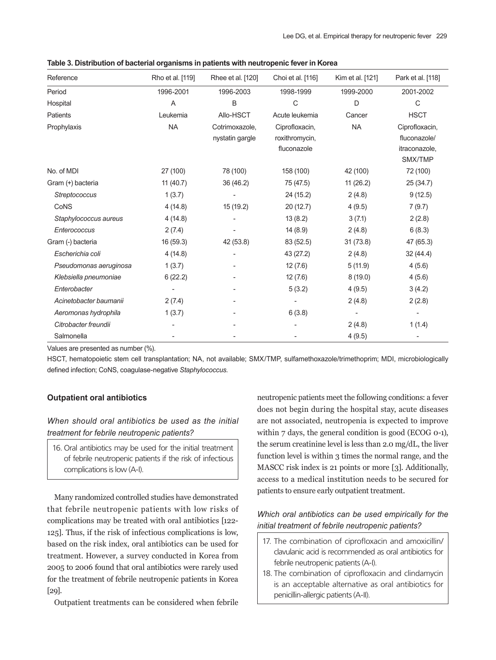| Reference              | Rho et al. [119] | Rhee et al. [120] | Choi et al. [116] | Kim et al. [121] | Park et al. [118] |
|------------------------|------------------|-------------------|-------------------|------------------|-------------------|
| Period                 | 1996-2001        | 1996-2003         | 1998-1999         | 1999-2000        | 2001-2002         |
| Hospital               | Α                | B                 | $\mathsf C$       | D                | $\mathsf{C}$      |
| Patients               | Leukemia         | Allo-HSCT         | Acute leukemia    | Cancer           | <b>HSCT</b>       |
| Prophylaxis            | <b>NA</b>        | Cotrimoxazole,    | Ciprofloxacin,    | <b>NA</b>        | Ciprofloxacin,    |
|                        |                  | nystatin gargle   | roxithromycin,    |                  | fluconazole/      |
|                        |                  |                   | fluconazole       |                  | itraconazole,     |
|                        |                  |                   |                   |                  | SMX/TMP           |
| No. of MDI             | 27 (100)         | 78 (100)          | 158 (100)         | 42 (100)         | 72 (100)          |
| Gram (+) bacteria      | 11 (40.7)        | 36 (46.2)         | 75 (47.5)         | 11(26.2)         | 25 (34.7)         |
| Streptococcus          | 1(3.7)           |                   | 24 (15.2)         | 2(4.8)           | 9(12.5)           |
| CoNS                   | 4(14.8)          | 15 (19.2)         | 20 (12.7)         | 4(9.5)           | 7(9.7)            |
| Staphylococcus aureus  | 4(14.8)          |                   | 13(8.2)           | 3(7.1)           | 2(2.8)            |
| Enterococcus           | 2(7.4)           |                   | 14(8.9)           | 2(4.8)           | 6(8.3)            |
| Gram (-) bacteria      | 16 (59.3)        | 42 (53.8)         | 83 (52.5)         | 31(73.8)         | 47 (65.3)         |
| Escherichia coli       | 4(14.8)          |                   | 43 (27.2)         | 2(4.8)           | 32 (44.4)         |
| Pseudomonas aeruginosa | 1(3.7)           |                   | 12(7.6)           | 5(11.9)          | 4(5.6)            |
| Klebsiella pneumoniae  | 6(22.2)          |                   | 12(7.6)           | 8(19.0)          | 4(5.6)            |
| Enterobacter           |                  |                   | 5(3.2)            | 4(9.5)           | 3(4.2)            |
| Acinetobacter baumanii | 2(7.4)           |                   |                   | 2(4.8)           | 2(2.8)            |
| Aeromonas hydrophila   | 1(3.7)           |                   | 6(3.8)            |                  |                   |
| Citrobacter freundii   |                  |                   |                   | 2(4.8)           | 1(1.4)            |
| Salmonella             |                  |                   |                   | 4(9.5)           |                   |

**Table 3. Distribution of bacterial organisms in patients with neutropenic fever in Korea**

Values are presented as number (%).

HSCT, hematopoietic stem cell transplantation; NA, not available; SMX/TMP, sulfamethoxazole/trimethoprim; MDI, microbiologically defined infection; CoNS, coagulase-negative *Staphylococcus*.

### **Outpatient oral antibiotics**

*When should oral antibiotics be used as the initial treatment for febrile neutropenic patients?*

16. Oral antibiotics may be used for the initial treatment of febrile neutropenic patients if the risk of infectious complications is low (A-I).

Many randomized controlled studies have demonstrated that febrile neutropenic patients with low risks of complications may be treated with oral antibiotics [122- 125]. Thus, if the risk of infectious complications is low, based on the risk index, oral antibiotics can be used for treatment. However, a survey conducted in Korea from 2005 to 2006 found that oral antibiotics were rarely used for the treatment of febrile neutropenic patients in Korea [29].

Outpatient treatments can be considered when febrile

neutropenic patients meet the following conditions: a fever does not begin during the hospital stay, acute diseases are not associated, neutropenia is expected to improve within 7 days, the general condition is good (ECOG 0-1), the serum creatinine level is less than 2.0 mg/dL, the liver function level is within 3 times the normal range, and the MASCC risk index is 21 points or more [3]. Additionally, access to a medical institution needs to be secured for patients to ensure early outpatient treatment.

# *Which oral antibiotics can be used empirically for the initial treatment of febrile neutropenic patients?*

- 17. The combination of ciprofloxacin and amoxicillin/ clavulanic acid is recommended as oral antibiotics for febrile neutropenic patients (A-I).
- 18. The combination of ciprofloxacin and clindamycin is an acceptable alternative as oral antibiotics for penicillin-allergic patients (A-II).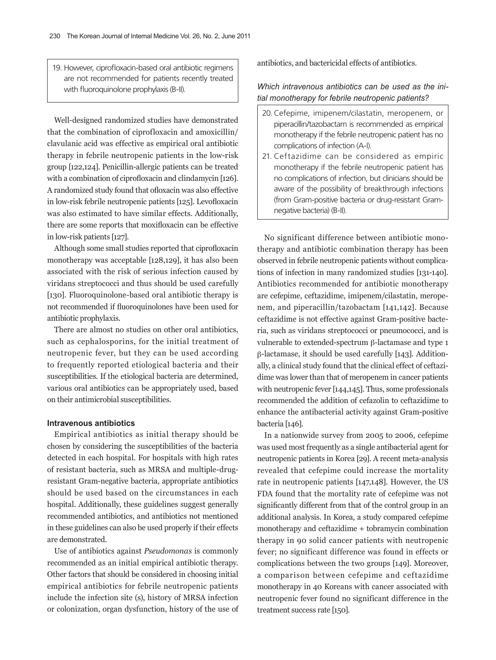19. However, ciprofloxacin-based oral antibiotic regimens are not recommended for patients recently treated with fluoroquinolone prophylaxis (B-II).

Well-designed randomized studies have demonstrated that the combination of ciprofloxacin and amoxicillin/ clavulanic acid was effective as empirical oral antibiotic therapy in febrile neutropenic patients in the low-risk group [122,124]. Penicillin-allergic patients can be treated with a combination of ciprofloxacin and clindamycin [126]. A randomized study found that ofloxacin was also effective in low-risk febrile neutropenic patients [125]. Levofloxacin was also estimated to have similar effects. Additionally, there are some reports that moxifloxacin can be effective in low-risk patients [127].

Although some small studies reported that ciprofloxacin monotherapy was acceptable [128,129], it has also been associated with the risk of serious infection caused by viridans streptococci and thus should be used carefully [130]. Fluoroquinolone-based oral antibiotic therapy is not recommended if fluoroquinolones have been used for antibiotic prophylaxis.

There are almost no studies on other oral antibiotics, such as cephalosporins, for the initial treatment of neutropenic fever, but they can be used according to frequently reported etiological bacteria and their susceptibilities. If the etiological bacteria are determined, various oral antibiotics can be appropriately used, based on their antimicrobial susceptibilities.

#### **Intravenous antibiotics**

Empirical antibiotics as initial therapy should be chosen by considering the susceptibilities of the bacteria detected in each hospital. For hospitals with high rates of resistant bacteria, such as MRSA and multiple-drugresistant Gram-negative bacteria, appropriate antibiotics should be used based on the circumstances in each hospital. Additionally, these guidelines suggest generally recommended antibiotics, and antibiotics not mentioned in these guidelines can also be used properly if their effects are demonstrated.

Use of antibiotics against *Pseudomonas* is commonly recommended as an initial empirical antibiotic therapy. Other factors that should be considered in choosing initial empirical antibiotics for febrile neutropenic patients include the infection site (s), history of MRSA infection or colonization, organ dysfunction, history of the use of antibiotics, and bactericidal effects of antibiotics.

# *Which intravenous antibiotics can be used as the ini‑ tial monotherapy for febrile neutropenic patients?*

- 20. Cefepime, imipenem/cilastatin, meropenem, or piperacillin/tazobactam is recommended as empirical monotherapy if the febrile neutropenic patient has no complications of infection (A-I).
- 21. Ceftazidime can be considered as empiric monotherapy if the febrile neutropenic patient has no complications of infection, but clinicians should be aware of the possibility of breakthrough infections (from Gram-positive bacteria or drug-resistant Gramnegative bacteria) (B-II).

No significant difference between antibiotic monotherapy and antibiotic combination therapy has been observed in febrile neutropenic patients without complications of infection in many randomized studies [131-140]. Antibiotics recommended for antibiotic monotherapy are cefepime, ceftazidime, imipenem/cilastatin, meropenem, and piperacillin/tazobactam [141,142]. Because ceftazidime is not effective against Gram-positive bacteria, such as viridans streptococci or pneumococci, and is vulnerable to extended-spectrum β-lactamase and type 1 β-lactamase, it should be used carefully [143]. Additionally, a clinical study found that the clinical effect of ceftazidime was lower than that of meropenem in cancer patients with neutropenic fever [144,145]. Thus, some professionals recommended the addition of cefazolin to ceftazidime to enhance the antibacterial activity against Gram-positive bacteria [146].

In a nationwide survey from 2005 to 2006, cefepime was used most frequently as a single antibacterial agent for neutropenic patients in Korea [29]. A recent meta-analysis revealed that cefepime could increase the mortality rate in neutropenic patients [147,148]. However, the US FDA found that the mortality rate of cefepime was not significantly different from that of the control group in an additional analysis. In Korea, a study compared cefepime monotherapy and ceftazidime + tobramycin combination therapy in 90 solid cancer patients with neutropenic fever; no significant difference was found in effects or complications between the two groups [149]. Moreover, a comparison between cefepime and ceftazidime monotherapy in 40 Koreans with cancer associated with neutropenic fever found no significant difference in the treatment success rate [150].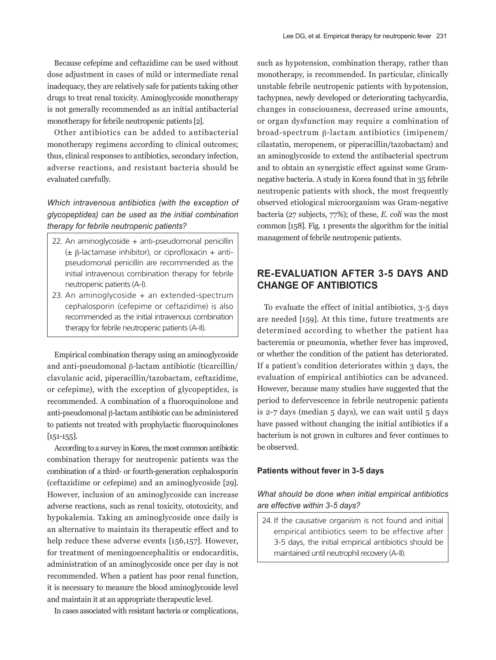Because cefepime and ceftazidime can be used without dose adjustment in cases of mild or intermediate renal inadequacy, they are relatively safe for patients taking other drugs to treat renal toxicity. Aminoglycoside monotherapy is not generally recommended as an initial antibacterial monotherapy for febrile neutropenic patients [2].

Other antibiotics can be added to antibacterial monotherapy regimens according to clinical outcomes; thus, clinical responses to antibiotics, secondary infection, adverse reactions, and resistant bacteria should be evaluated carefully.

# *Which intravenous antibiotics (with the exception of glycopeptides) can be used as the initial combination therapy for febrile neutropenic patients?*

- 22. An aminoglycoside + anti-pseudomonal penicillin (± β-lactamase inhibitor), or ciprofloxacin + antipseudomonal penicillin are recommended as the initial intravenous combination therapy for febrile neutropenic patients (A-I).
- 23. An aminoglycoside + an extended-spectrum cephalosporin (cefepime or ceftazidime) is also recommended as the initial intravenous combination therapy for febrile neutropenic patients (A-II).

Empirical combination therapy using an aminoglycoside and anti-pseudomonal β-lactam antibiotic (ticarcillin/ clavulanic acid, piperacillin/tazobactam, ceftazidime, or cefepime), with the exception of glycopeptides, is recommended. A combination of a fluoroquinolone and anti-pseudomonal β-lactam antibiotic can be administered to patients not treated with prophylactic fluoroquinolones [151-155].

According to a survey in Korea, the most common antibiotic combination therapy for neutropenic patients was the combination of a third- or fourth-generation cephalosporin (ceftazidime or cefepime) and an aminoglycoside [29]. However, inclusion of an aminoglycoside can increase adverse reactions, such as renal toxicity, ototoxicity, and hypokalemia. Taking an aminoglycoside once daily is an alternative to maintain its therapeutic effect and to help reduce these adverse events [156,157]. However, for treatment of meningoencephalitis or endocarditis, administration of an aminoglycoside once per day is not recommended. When a patient has poor renal function, it is necessary to measure the blood aminoglycoside level and maintain it at an appropriate therapeutic level.

In cases associated with resistant bacteria or complications,

such as hypotension, combination therapy, rather than monotherapy, is recommended. In particular, clinically unstable febrile neutropenic patients with hypotension, tachypnea, newly developed or deteriorating tachycardia, changes in consciousness, decreased urine amounts, or organ dysfunction may require a combination of broad-spectrum β-lactam antibiotics (imipenem/ cilastatin, meropenem, or piperacillin/tazobactam) and an aminoglycoside to extend the antibacterial spectrum and to obtain an synergistic effect against some Gramnegative bacteria. A study in Korea found that in 35 febrile neutropenic patients with shock, the most frequently observed etiological microorganism was Gram-negative bacteria (27 subjects, 77%); of these, *E. coli* was the most common [158]. Fig. 1 presents the algorithm for the initial management of febrile neutropenic patients.

# **RE-EVALUATION AFTER 3-5 DAYS AND CHANGE OF ANTIBIOTICS**

To evaluate the effect of initial antibiotics, 3-5 days are needed [159]. At this time, future treatments are determined according to whether the patient has bacteremia or pneumonia, whether fever has improved, or whether the condition of the patient has deteriorated. If a patient's condition deteriorates within 3 days, the evaluation of empirical antibiotics can be advanced. However, because many studies have suggested that the period to defervescence in febrile neutropenic patients is 2-7 days (median 5 days), we can wait until 5 days have passed without changing the initial antibiotics if a bacterium is not grown in cultures and fever continues to be observed.

#### **Patients without fever in 3-5 days**

# *What should be done when initial empirical antibiotics are effective within 3‑5 days?*

24. If the causative organism is not found and initial empirical antibiotics seem to be effective after 3-5 days, the initial empirical antibiotics should be maintained until neutrophil recovery (A-II).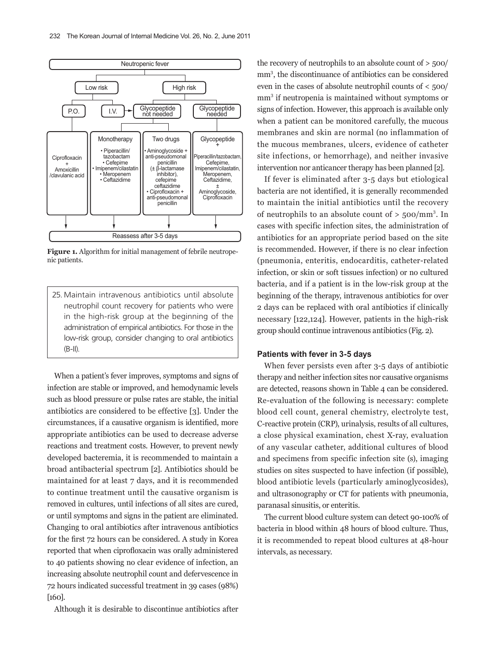

**Figure 1.** Algorithm for initial management of febrile neutropenic patients.

25. Maintain intravenous antibiotics until absolute neutrophil count recovery for patients who were in the high-risk group at the beginning of the administration of empirical antibiotics. For those in the low-risk group, consider changing to oral antibiotics (B-II).

When a patient's fever improves, symptoms and signs of infection are stable or improved, and hemodynamic levels such as blood pressure or pulse rates are stable, the initial antibiotics are considered to be effective [3]. Under the circumstances, if a causative organism is identified, more appropriate antibiotics can be used to decrease adverse reactions and treatment costs. However, to prevent newly developed bacteremia, it is recommended to maintain a broad antibacterial spectrum [2]. Antibiotics should be maintained for at least 7 days, and it is recommended to continue treatment until the causative organism is removed in cultures, until infections of all sites are cured, or until symptoms and signs in the patient are eliminated. Changing to oral antibiotics after intravenous antibiotics for the first 72 hours can be considered. A study in Korea reported that when ciprofloxacin was orally administered to 40 patients showing no clear evidence of infection, an increasing absolute neutrophil count and defervescence in 72 hours indicated successful treatment in 39 cases (98%) [160].

Although it is desirable to discontinue antibiotics after

the recovery of neutrophils to an absolute count of > 500/ mm3 , the discontinuance of antibiotics can be considered even in the cases of absolute neutrophil counts of < 500/ mm<sup>3</sup> if neutropenia is maintained without symptoms or signs of infection. However, this approach is available only when a patient can be monitored carefully, the mucous membranes and skin are normal (no inflammation of the mucous membranes, ulcers, evidence of catheter site infections, or hemorrhage), and neither invasive intervention nor anticancer therapy has been planned [2].

If fever is eliminated after 3-5 days but etiological bacteria are not identified, it is generally recommended to maintain the initial antibiotics until the recovery of neutrophils to an absolute count of  $> 500/mm^3$ . In cases with specific infection sites, the administration of antibiotics for an appropriate period based on the site is recommended. However, if there is no clear infection (pneumonia, enteritis, endocarditis, catheter-related infection, or skin or soft tissues infection) or no cultured bacteria, and if a patient is in the low-risk group at the beginning of the therapy, intravenous antibiotics for over 2 days can be replaced with oral antibiotics if clinically necessary [122,124]. However, patients in the high-risk group should continue intravenous antibiotics (Fig. 2).

#### **Patients with fever in 3-5 days**

When fever persists even after 3-5 days of antibiotic therapy and neither infection sites nor causative organisms are detected, reasons shown in Table 4 can be considered. Re-evaluation of the following is necessary: complete blood cell count, general chemistry, electrolyte test, C-reactive protein (CRP), urinalysis, results of all cultures, a close physical examination, chest X-ray, evaluation of any vascular catheter, additional cultures of blood and specimens from specific infection site (s), imaging studies on sites suspected to have infection (if possible), blood antibiotic levels (particularly aminoglycosides), and ultrasonography or CT for patients with pneumonia, paranasal sinusitis, or enteritis.

The current blood culture system can detect 90-100% of bacteria in blood within 48 hours of blood culture. Thus, it is recommended to repeat blood cultures at 48-hour intervals, as necessary.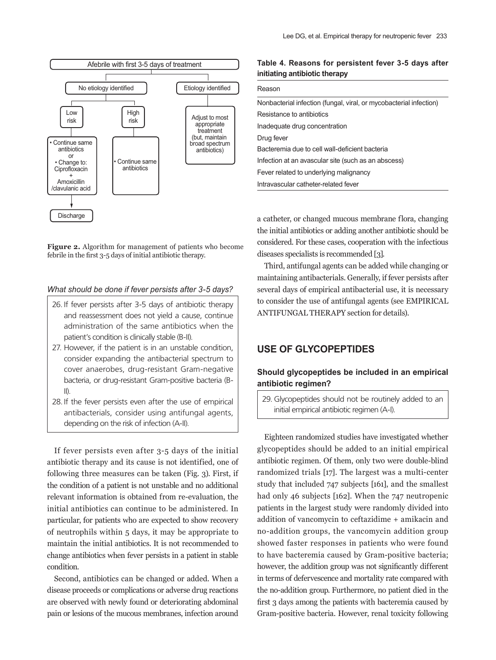

**Figure 2.** Algorithm for management of patients who become febrile in the first 3‑5 days of initial antibiotic therapy.

### *What should be done if fever persists after 3‑5 days?*

- 26. If fever persists after 3-5 days of antibiotic therapy and reassessment does not yield a cause, continue administration of the same antibiotics when the patient's condition is clinically stable (B-II).
- 27. However, if the patient is in an unstable condition, consider expanding the antibacterial spectrum to cover anaerobes, drug-resistant Gram-negative bacteria, or drug-resistant Gram-positive bacteria (B-II).
- 28. If the fever persists even after the use of empirical antibacterials, consider using antifungal agents, depending on the risk of infection (A-II).

If fever persists even after 3-5 days of the initial antibiotic therapy and its cause is not identified, one of following three measures can be taken (Fig. 3). First, if the condition of a patient is not unstable and no additional relevant information is obtained from re-evaluation, the initial antibiotics can continue to be administered. In particular, for patients who are expected to show recovery of neutrophils within 5 days, it may be appropriate to maintain the initial antibiotics. It is not recommended to change antibiotics when fever persists in a patient in stable condition.

Second, antibiotics can be changed or added. When a disease proceeds or complications or adverse drug reactions are observed with newly found or deteriorating abdominal pain or lesions of the mucous membranes, infection around

### **Table 4. Reasons for persistent fever 3-5 days after initiating antibiotic therapy**

| Reason                                                             |  |  |
|--------------------------------------------------------------------|--|--|
| Nonbacterial infection (fungal, viral, or mycobacterial infection) |  |  |
| Resistance to antibiotics                                          |  |  |
| Inadequate drug concentration                                      |  |  |
| Drug fever                                                         |  |  |
| Bacteremia due to cell wall-deficient bacteria                     |  |  |
| Infection at an avascular site (such as an abscess)                |  |  |
| Fever related to underlying malignancy                             |  |  |
| Intravascular catheter-related fever                               |  |  |

a catheter, or changed mucous membrane flora, changing the initial antibiotics or adding another antibiotic should be considered. For these cases, cooperation with the infectious diseases specialists is recommended [3].

Third, antifungal agents can be added while changing or maintaining antibacterials. Generally, if fever persists after several days of empirical antibacterial use, it is necessary to consider the use of antifungal agents (see EMPIRICAL ANTIFUNGAL THERAPY section for details).

# **USE OF GLYCOPEPTIDES**

### **Should glycopeptides be included in an empirical antibiotic regimen?**

29. Glycopeptides should not be routinely added to an initial empirical antibiotic regimen (A-I).

Eighteen randomized studies have investigated whether glycopeptides should be added to an initial empirical antibiotic regimen. Of them, only two were double-blind randomized trials [17]. The largest was a multi-center study that included 747 subjects [161], and the smallest had only 46 subjects [162]. When the 747 neutropenic patients in the largest study were randomly divided into addition of vancomycin to ceftazidime + amikacin and no-addition groups, the vancomycin addition group showed faster responses in patients who were found to have bacteremia caused by Gram-positive bacteria; however, the addition group was not significantly different in terms of defervescence and mortality rate compared with the no-addition group. Furthermore, no patient died in the first 3 days among the patients with bacteremia caused by Gram-positive bacteria. However, renal toxicity following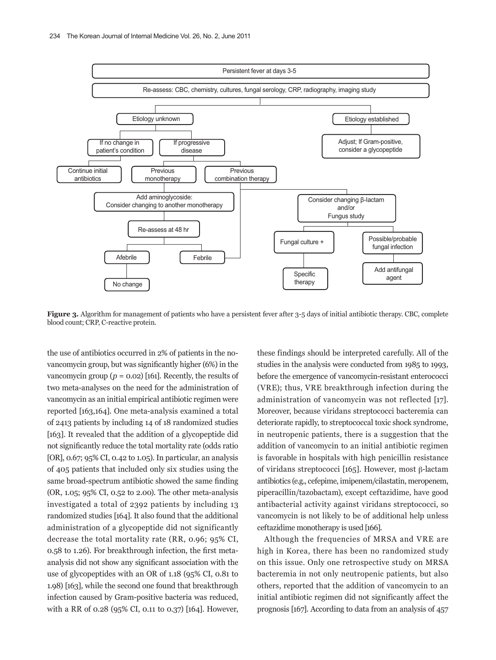

**Figure 3.** Algorithm for management of patients who have a persistent fever after 3-5 days of initial antibiotic therapy. CBC, complete blood count; CRP, C-reactive protein.

the use of antibiotics occurred in 2% of patients in the novancomycin group, but was significantly higher (6%) in the vancomycin group ( $p = 0.02$ ) [161]. Recently, the results of two meta-analyses on the need for the administration of vancomycin as an initial empirical antibiotic regimen were reported [163,164]. One meta-analysis examined a total of 2413 patients by including 14 of 18 randomized studies [163]. It revealed that the addition of a glycopeptide did not significantly reduce the total mortality rate (odds ratio [OR], 0.67; 95% CI, 0.42 to 1.05). In particular, an analysis of 405 patients that included only six studies using the same broad-spectrum antibiotic showed the same finding (OR, 1.05; 95% CI, 0.52 to 2.00). The other meta-analysis investigated a total of 2392 patients by including 13 randomized studies [164]. It also found that the additional administration of a glycopeptide did not significantly decrease the total mortality rate (RR, 0.96; 95% CI, 0.58 to 1.26). For breakthrough infection, the first metaanalysis did not show any significant association with the use of glycopeptides with an OR of 1.18 (95% CI, 0.81 to 1.98) [163], while the second one found that breakthrough infection caused by Gram-positive bacteria was reduced, with a RR of 0.28 (95% CI, 0.11 to 0.37) [164]. However,

these findings should be interpreted carefully. All of the studies in the analysis were conducted from 1985 to 1993, before the emergence of vancomycin-resistant enterococci (VRE); thus, VRE breakthrough infection during the administration of vancomycin was not reflected [17]. Moreover, because viridans streptococci bacteremia can deteriorate rapidly, to streptococcal toxic shock syndrome, in neutropenic patients, there is a suggestion that the addition of vancomycin to an initial antibiotic regimen is favorable in hospitals with high penicillin resistance of viridans streptococci [165]. However, most β-lactam antibiotics (e.g., cefepime, imipenem/cilastatin, meropenem, piperacillin/tazobactam), except ceftazidime, have good antibacterial activity against viridans streptococci, so vancomycin is not likely to be of additional help unless ceftazidime monotherapy is used [166].

Although the frequencies of MRSA and VRE are high in Korea, there has been no randomized study on this issue. Only one retrospective study on MRSA bacteremia in not only neutropenic patients, but also others, reported that the addition of vancomycin to an initial antibiotic regimen did not significantly affect the prognosis [167]. According to data from an analysis of 457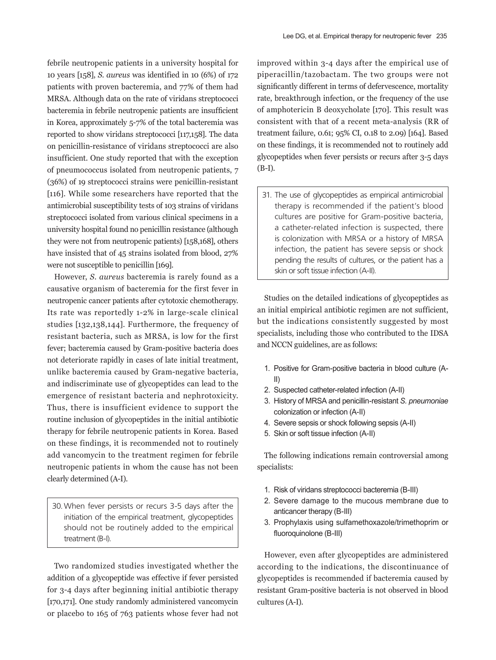febrile neutropenic patients in a university hospital for 10 years [158], *S. aureus* was identified in 10 (6%) of 172 patients with proven bacteremia, and 77% of them had MRSA. Although data on the rate of viridans streptococci bacteremia in febrile neutropenic patients are insufficient in Korea, approximately 5-7% of the total bacteremia was reported to show viridans streptococci [117,158]. The data on penicillin-resistance of viridans streptococci are also insufficient. One study reported that with the exception of pneumococcus isolated from neutropenic patients, 7 (36%) of 19 streptococci strains were penicillin-resistant [116]. While some researchers have reported that the antimicrobial susceptibility tests of 103 strains of viridans streptococci isolated from various clinical specimens in a university hospital found no penicillin resistance (although they were not from neutropenic patients) [158,168], others have insisted that of 45 strains isolated from blood, 27% were not susceptible to penicillin [169].

However, *S. aureus* bacteremia is rarely found as a causative organism of bacteremia for the first fever in neutropenic cancer patients after cytotoxic chemotherapy. Its rate was reportedly 1-2% in large-scale clinical studies [132,138,144]. Furthermore, the frequency of resistant bacteria, such as MRSA, is low for the first fever; bacteremia caused by Gram-positive bacteria does not deteriorate rapidly in cases of late initial treatment, unlike bacteremia caused by Gram-negative bacteria, and indiscriminate use of glycopeptides can lead to the emergence of resistant bacteria and nephrotoxicity. Thus, there is insufficient evidence to support the routine inclusion of glycopeptides in the initial antibiotic therapy for febrile neutropenic patients in Korea. Based on these findings, it is recommended not to routinely add vancomycin to the treatment regimen for febrile neutropenic patients in whom the cause has not been clearly determined (A-I).

30. When fever persists or recurs 3-5 days after the initiation of the empirical treatment, glycopeptides should not be routinely added to the empirical treatment (B-I).

Two randomized studies investigated whether the addition of a glycopeptide was effective if fever persisted for 3-4 days after beginning initial antibiotic therapy [170,171]. One study randomly administered vancomycin or placebo to 165 of 763 patients whose fever had not

improved within 3-4 days after the empirical use of piperacillin/tazobactam. The two groups were not significantly different in terms of defervescence, mortality rate, breakthrough infection, or the frequency of the use of amphotericin B deoxycholate [170]. This result was consistent with that of a recent meta-analysis (RR of treatment failure, 0.61; 95% CI, 0.18 to 2.09) [164]. Based on these findings, it is recommended not to routinely add glycopeptides when fever persists or recurs after 3-5 days (B-I).

31. The use of glycopeptides as empirical antimicrobial therapy is recommended if the patient's blood cultures are positive for Gram-positive bacteria, a catheter-related infection is suspected, there is colonization with MRSA or a history of MRSA infection, the patient has severe sepsis or shock pending the results of cultures, or the patient has a skin or soft tissue infection (A-II).

Studies on the detailed indications of glycopeptides as an initial empirical antibiotic regimen are not sufficient, but the indications consistently suggested by most specialists, including those who contributed to the IDSA and NCCN guidelines, are as follows:

- 1. Positive for Gram-positive bacteria in blood culture (A-II)
- 2. Suspected catheter-related infection (A-II)
- 3. History of MRSA and penicillin-resistant *S. pneumoniae*  colonization or infection (A-II)
- 4. Severe sepsis or shock following sepsis (A-II)
- 5. Skin or soft tissue infection (A-II)

The following indications remain controversial among specialists:

- 1. Risk of viridans streptococci bacteremia (B-III)
- 2. Severe damage to the mucous membrane due to anticancer therapy (B-III)
- 3. Prophylaxis using sulfamethoxazole/trimethoprim or fluoroquinolone (B-III)

However, even after glycopeptides are administered according to the indications, the discontinuance of glycopeptides is recommended if bacteremia caused by resistant Gram-positive bacteria is not observed in blood cultures (A-I).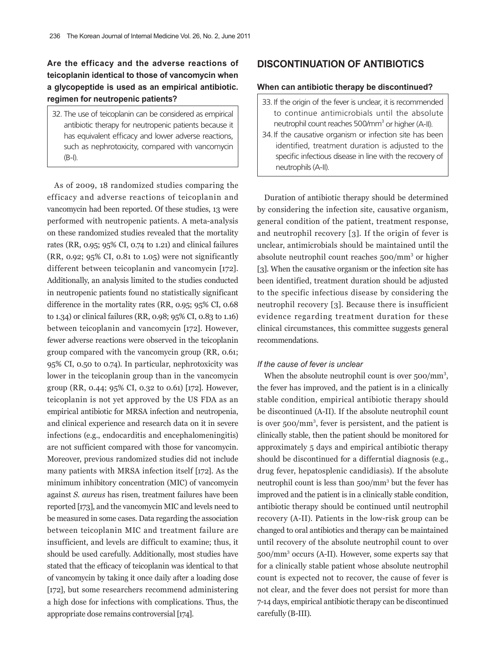# **Are the efficacy and the adverse reactions of teicoplanin identical to those of vancomycin when a glycopeptide is used as an empirical antibiotic. regimen for neutropenic patients?**

32. The use of teicoplanin can be considered as empirical antibiotic therapy for neutropenic patients because it has equivalent efficacy and lower adverse reactions, such as nephrotoxicity, compared with vancomycin (B-I).

As of 2009, 18 randomized studies comparing the efficacy and adverse reactions of teicoplanin and vancomycin had been reported. Of these studies, 13 were performed with neutropenic patients. A meta-analysis on these randomized studies revealed that the mortality rates (RR, 0.95; 95% CI, 0.74 to 1.21) and clinical failures (RR, 0.92; 95% CI, 0.81 to 1.05) were not significantly different between teicoplanin and vancomycin [172]. Additionally, an analysis limited to the studies conducted in neutropenic patients found no statistically significant difference in the mortality rates (RR, 0.95; 95% CI, 0.68 to 1.34) or clinical failures (RR, 0.98; 95% CI, 0.83 to 1.16) between teicoplanin and vancomycin [172]. However, fewer adverse reactions were observed in the teicoplanin group compared with the vancomycin group (RR, 0.61; 95% CI, 0.50 to 0.74). In particular, nephrotoxicity was lower in the teicoplanin group than in the vancomycin group (RR, 0.44; 95% CI, 0.32 to 0.61) [172]. However, teicoplanin is not yet approved by the US FDA as an empirical antibiotic for MRSA infection and neutropenia, and clinical experience and research data on it in severe infections (e.g., endocarditis and encephalomeningitis) are not sufficient compared with those for vancomycin. Moreover, previous randomized studies did not include many patients with MRSA infection itself [172]. As the minimum inhibitory concentration (MIC) of vancomycin against *S. aureus* has risen, treatment failures have been reported [173], and the vancomycin MIC and levels need to be measured in some cases. Data regarding the association between teicoplanin MIC and treatment failure are insufficient, and levels are difficult to examine; thus, it should be used carefully. Additionally, most studies have stated that the efficacy of teicoplanin was identical to that of vancomycin by taking it once daily after a loading dose [172], but some researchers recommend administering a high dose for infections with complications. Thus, the appropriate dose remains controversial [174].

### **DISCONTINUATION OF ANTIBIOTICS**

### **When can antibiotic therapy be discontinued?**

- 33. If the origin of the fever is unclear, it is recommended to continue antimicrobials until the absolute neutrophil count reaches 500/mm<sup>3</sup> or higher (A-II).
- 34.If the causative organism or infection site has been identified, treatment duration is adjusted to the specific infectious disease in line with the recovery of neutrophils (A-II).

Duration of antibiotic therapy should be determined by considering the infection site, causative organism, general condition of the patient, treatment response, and neutrophil recovery [3]. If the origin of fever is unclear, antimicrobials should be maintained until the absolute neutrophil count reaches 500/mm<sup>3</sup> or higher [3]. When the causative organism or the infection site has been identified, treatment duration should be adjusted to the specific infectious disease by considering the neutrophil recovery [3]. Because there is insufficient evidence regarding treatment duration for these clinical circumstances, this committee suggests general recommendations.

#### *If the cause of fever is unclear*

When the absolute neutrophil count is over 500/mm<sup>3</sup>, the fever has improved, and the patient is in a clinically stable condition, empirical antibiotic therapy should be discontinued (A-II). If the absolute neutrophil count is over 500/mm<sup>3</sup>, fever is persistent, and the patient is clinically stable, then the patient should be monitored for approximately 5 days and empirical antibiotic therapy should be discontinued for a differntial diagnosis (e.g., drug fever, hepatosplenic candidiasis). If the absolute neutrophil count is less than 500/mm<sup>3</sup> but the fever has improved and the patient is in a clinically stable condition, antibiotic therapy should be continued until neutrophil recovery (A-II). Patients in the low-risk group can be changed to oral antibiotics and therapy can be maintained until recovery of the absolute neutrophil count to over 500/mm<sup>3</sup> occurs (A-II). However, some experts say that for a clinically stable patient whose absolute neutrophil count is expected not to recover, the cause of fever is not clear, and the fever does not persist for more than 7-14 days, empirical antibiotic therapy can be discontinued carefully (B-III).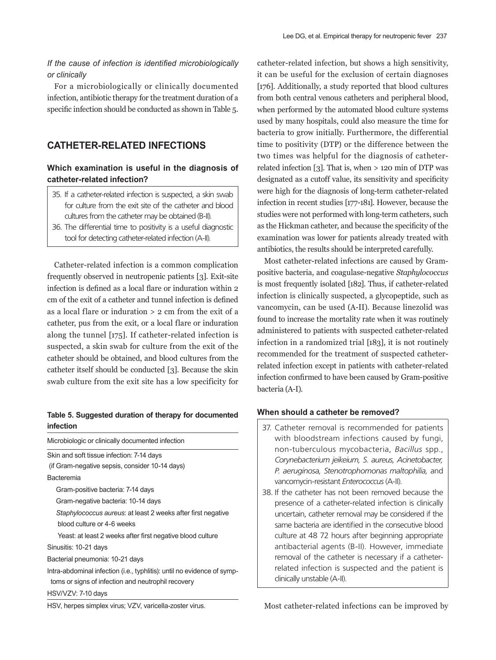## *If the cause of infection is identified microbiologically or clinically*

For a microbiologically or clinically documented infection, antibiotic therapy for the treatment duration of a specific infection should be conducted as shown in Table 5.

# **CATHETER-RELATED INFECTIONS**

# **Which examination is useful in the diagnosis of catheter-related infection?**

- 35. If a catheter-related infection is suspected, a skin swab for culture from the exit site of the catheter and blood cultures from the catheter may be obtained (B-II).
- 36. The differential time to positivity is a useful diagnostic tool for detecting catheter-related infection (A-II).

Catheter-related infection is a common complication frequently observed in neutropenic patients [3]. Exit-site infection is defined as a local flare or induration within 2 cm of the exit of a catheter and tunnel infection is defined as a local flare or induration > 2 cm from the exit of a catheter, pus from the exit, or a local flare or induration along the tunnel [175]. If catheter-related infection is suspected, a skin swab for culture from the exit of the catheter should be obtained, and blood cultures from the catheter itself should be conducted [3]. Because the skin swab culture from the exit site has a low specificity for

### **Table 5. Suggested duration of therapy for documented infection**

| Microbiologic or clinically documented infection                        |  |  |
|-------------------------------------------------------------------------|--|--|
| Skin and soft tissue infection: 7-14 days                               |  |  |
| (if Gram-negative sepsis, consider 10-14 days)                          |  |  |
| <b>Bacteremia</b>                                                       |  |  |
| Gram-positive bacteria: 7-14 days                                       |  |  |
| Gram-negative bacteria: 10-14 days                                      |  |  |
| Staphylococcus aureus: at least 2 weeks after first negative            |  |  |
| blood culture or 4-6 weeks                                              |  |  |
| Yeast: at least 2 weeks after first negative blood culture              |  |  |
| Sinusitis: 10-21 days                                                   |  |  |
| Bacterial pneumonia: 10-21 days                                         |  |  |
| Intra-abdominal infection (i.e., typhlitis): until no evidence of symp- |  |  |
| toms or signs of infection and neutrophil recovery                      |  |  |
| HSV/VZV: 7-10 days                                                      |  |  |
| HSV, herpes simplex virus; VZV, varicella-zoster virus.                 |  |  |

catheter-related infection, but shows a high sensitivity, it can be useful for the exclusion of certain diagnoses [176]. Additionally, a study reported that blood cultures from both central venous catheters and peripheral blood, when performed by the automated blood culture systems used by many hospitals, could also measure the time for bacteria to grow initially. Furthermore, the differential time to positivity (DTP) or the difference between the two times was helpful for the diagnosis of catheterrelated infection [3]. That is, when > 120 min of DTP was designated as a cutoff value, its sensitivity and specificity were high for the diagnosis of long-term catheter-related infection in recent studies [177-181]. However, because the studies were not performed with long-term catheters, such as the Hickman catheter, and because the specificity of the examination was lower for patients already treated with antibiotics, the results should be interpreted carefully.

Most catheter-related infections are caused by Grampositive bacteria, and coagulase-negative *Staphylococcus*  is most frequently isolated [182]. Thus, if catheter-related infection is clinically suspected, a glycopeptide, such as vancomycin, can be used (A-II). Because linezolid was found to increase the mortality rate when it was routinely administered to patients with suspected catheter-related infection in a randomized trial [183], it is not routinely recommended for the treatment of suspected catheterrelated infection except in patients with catheter-related infection confirmed to have been caused by Gram-positive bacteria (A-I).

### **When should a catheter be removed?**

- 37. Catheter removal is recommended for patients with bloodstream infections caused by fungi, non-tuberculous mycobacteria, *Bacillus* spp., *Corynebacterium jeikeium, S. aureus, Acinetobacter, P. aeruginosa, Stenotrophomonas maltophilia,* and vancomycin-resistant *Enterococcus* (A-II).
- 38. If the catheter has not been removed because the presence of a catheter-related infection is clinically uncertain, catheter removal may be considered if the same bacteria are identified in the consecutive blood culture at 48 72 hours after beginning appropriate antibacterial agents (B-II). However, immediate removal of the catheter is necessary if a catheterrelated infection is suspected and the patient is clinically unstable (A-II).

Most catheter-related infections can be improved by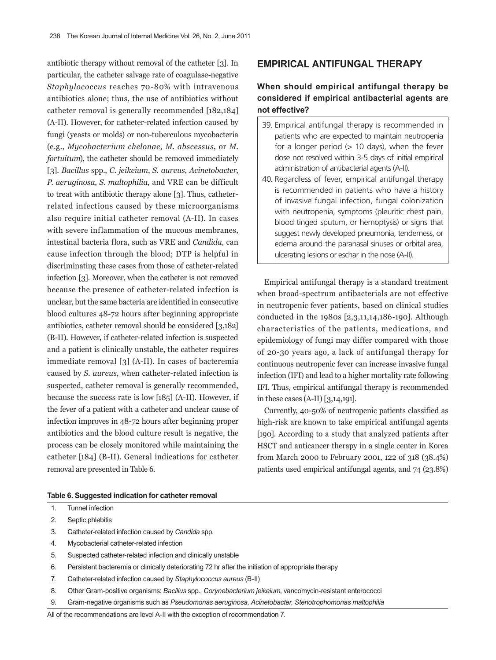antibiotic therapy without removal of the catheter [3]. In particular, the catheter salvage rate of coagulase-negative *Staphylococcus* reaches 70-80% with intravenous antibiotics alone; thus, the use of antibiotics without catheter removal is generally recommended [182,184] (A-II). However, for catheter-related infection caused by fungi (yeasts or molds) or non-tuberculous mycobacteria (e.g., *Mycobacterium chelonae*, *M*. *abscessus*, or *M*. *fortuitum*), the catheter should be removed immediately [3]. *Bacillus* spp., *C*. *jeikeium*, *S*. *aureus*, *Acinetobacter*, *P*. *aeruginosa*, *S*. *maltophilia*, and VRE can be difficult to treat with antibiotic therapy alone [3]. Thus, catheterrelated infections caused by these microorganisms also require initial catheter removal (A-II). In cases with severe inflammation of the mucous membranes, intestinal bacteria flora, such as VRE and *Candida*, can cause infection through the blood; DTP is helpful in discriminating these cases from those of catheter-related infection [3]. Moreover, when the catheter is not removed because the presence of catheter-related infection is unclear, but the same bacteria are identified in consecutive blood cultures 48-72 hours after beginning appropriate antibiotics, catheter removal should be considered [3,182] (B-II). However, if catheter-related infection is suspected and a patient is clinically unstable, the catheter requires immediate removal [3] (A-II). In cases of bacteremia caused by *S*. *aureus*, when catheter-related infection is suspected, catheter removal is generally recommended, because the success rate is low [185] (A-II). However, if the fever of a patient with a catheter and unclear cause of infection improves in 48-72 hours after beginning proper antibiotics and the blood culture result is negative, the process can be closely monitored while maintaining the catheter [184] (B-II). General indications for catheter removal are presented in Table 6.

### **EMPIRICAL ANTIFUNGAL THERAPY**

# **When should empirical antifungal therapy be considered if empirical antibacterial agents are not effective?**

- 39. Empirical antifungal therapy is recommended in patients who are expected to maintain neutropenia for a longer period  $(> 10$  days), when the fever dose not resolved within 3-5 days of initial empirical administration of antibacterial agents (A-II).
- 40. Regardless of fever, empirical antifungal therapy is recommended in patients who have a history of invasive fungal infection, fungal colonization with neutropenia, symptoms (pleuritic chest pain, blood tinged sputum, or hemoptysis) or signs that suggest newly developed pneumonia, tenderness, or edema around the paranasal sinuses or orbital area, ulcerating lesions or eschar in the nose (A-II).

Empirical antifungal therapy is a standard treatment when broad-spectrum antibacterials are not effective in neutropenic fever patients, based on clinical studies conducted in the 1980s [2,3,11,14,186-190]. Although characteristics of the patients, medications, and epidemiology of fungi may differ compared with those of 20-30 years ago, a lack of antifungal therapy for continuous neutropenic fever can increase invasive fungal infection (IFI) and lead to a higher mortality rate following IFI. Thus, empirical antifungal therapy is recommended in these cases (A-II) [3,14,191].

Currently, 40-50% of neutropenic patients classified as high-risk are known to take empirical antifungal agents [190]. According to a study that analyzed patients after HSCT and anticancer therapy in a single center in Korea from March 2000 to February 2001, 122 of 318 (38.4%) patients used empirical antifungal agents, and 74 (23.8%)

#### **Table 6. Suggested indication for catheter removal**

- 1. Tunnel infection
- 2. Septic phlebitis
- 3. Catheter-related infection caused by *Candida* spp.
- 4. Mycobacterial catheter-related infection
- 5. Suspected catheter-related infection and clinically unstable
- 6. Persistent bacteremia or clinically deteriorating 72 hr after the initiation of appropriate therapy
- 7. Catheter-related infection caused by *Staphylococcus aureus* (B-II)
- 8. Other Gram-positive organisms: *Bacillus* spp., *Corynebacterium jeikeium*, vancomycin-resistant enterococci
- 9. Gram-negative organisms such as *Pseudomonas aeruginosa, Acinetobacter, Stenotrophomonas maltophilia*

All of the recommendations are level A-II with the exception of recommendation 7.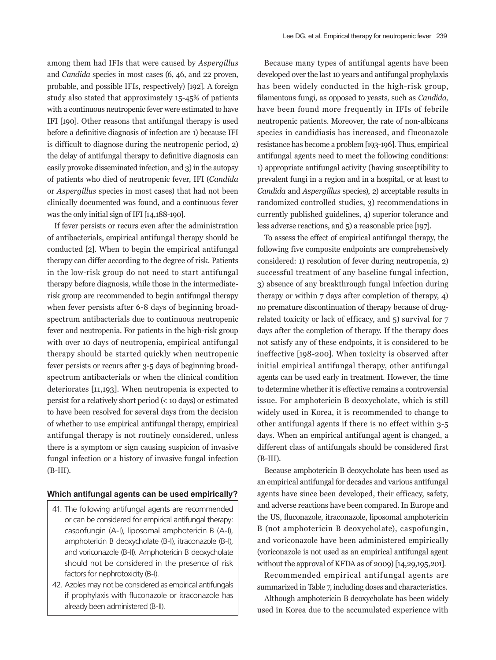among them had IFIs that were caused by *Aspergillus* and *Candida* species in most cases (6, 46, and 22 proven, probable, and possible IFIs, respectively) [192]. A foreign study also stated that approximately 15-45% of patients with a continuous neutropenic fever were estimated to have IFI [190]. Other reasons that antifungal therapy is used before a definitive diagnosis of infection are 1) because IFI is difficult to diagnose during the neutropenic period, 2) the delay of antifungal therapy to definitive diagnosis can easily provoke disseminated infection, and 3) in the autopsy of patients who died of neutropenic fever, IFI (*Candida*  or *Aspergillus* species in most cases) that had not been clinically documented was found, and a continuous fever was the only initial sign of IFI [14,188-190].

If fever persists or recurs even after the administration of antibacterials, empirical antifungal therapy should be conducted [2]. When to begin the empirical antifungal therapy can differ according to the degree of risk. Patients in the low-risk group do not need to start antifungal therapy before diagnosis, while those in the intermediaterisk group are recommended to begin antifungal therapy when fever persists after 6-8 days of beginning broadspectrum antibacterials due to continuous neutropenic fever and neutropenia. For patients in the high-risk group with over 10 days of neutropenia, empirical antifungal therapy should be started quickly when neutropenic fever persists or recurs after 3-5 days of beginning broadspectrum antibacterials or when the clinical condition deteriorates [11,193]. When neutropenia is expected to persist for a relatively short period (< 10 days) or estimated to have been resolved for several days from the decision of whether to use empirical antifungal therapy, empirical antifungal therapy is not routinely considered, unless there is a symptom or sign causing suspicion of invasive fungal infection or a history of invasive fungal infection (B-III).

#### **Which antifungal agents can be used empirically?**

- 41. The following antifungal agents are recommended or can be considered for empirical antifungal therapy: caspofungin (A-I), liposomal amphotericin B (A-I), amphotericin B deoxycholate (B-I), itraconazole (B-I), and voriconazole (B-II). Amphotericin B deoxycholate should not be considered in the presence of risk factors for nephrotoxicity (B-I).
- 42. Azoles may not be considered as empirical antifungals if prophylaxis with fluconazole or itraconazole has already been administered (B-II).

Because many types of antifungal agents have been developed over the last 10 years and antifungal prophylaxis has been widely conducted in the high-risk group, filamentous fungi, as opposed to yeasts, such as *Candida*, have been found more frequently in IFIs of febrile neutropenic patients. Moreover, the rate of non-albicans species in candidiasis has increased, and fluconazole resistance has become a problem [193-196]. Thus, empirical antifungal agents need to meet the following conditions: 1) appropriate antifungal activity (having susceptibility to prevalent fungi in a region and in a hospital, or at least to *Candida* and *Aspergillus* species), 2) acceptable results in randomized controlled studies, 3) recommendations in currently published guidelines, 4) superior tolerance and less adverse reactions, and 5) a reasonable price [197].

To assess the effect of empirical antifungal therapy, the following five composite endpoints are comprehensively considered: 1) resolution of fever during neutropenia, 2) successful treatment of any baseline fungal infection, 3) absence of any breakthrough fungal infection during therapy or within 7 days after completion of therapy, 4) no premature discontinuation of therapy because of drugrelated toxicity or lack of efficacy, and 5) survival for 7 days after the completion of therapy. If the therapy does not satisfy any of these endpoints, it is considered to be ineffective [198-200]. When toxicity is observed after initial empirical antifungal therapy, other antifungal agents can be used early in treatment. However, the time to determine whether it is effective remains a controversial issue. For amphotericin B deoxycholate, which is still widely used in Korea, it is recommended to change to other antifungal agents if there is no effect within 3-5 days. When an empirical antifungal agent is changed, a different class of antifungals should be considered first (B-III).

Because amphotericin B deoxycholate has been used as an empirical antifungal for decades and various antifungal agents have since been developed, their efficacy, safety, and adverse reactions have been compared. In Europe and the US, fluconazole, itraconazole, liposomal amphotericin B (not amphotericin B deoxycholate), caspofungin, and voriconazole have been administered empirically (voriconazole is not used as an empirical antifungal agent without the approval of KFDA as of 2009) [14,29,195,201].

Recommended empirical antifungal agents are summarized in Table 7, including doses and characteristics.

Although amphotericin B deoxycholate has been widely used in Korea due to the accumulated experience with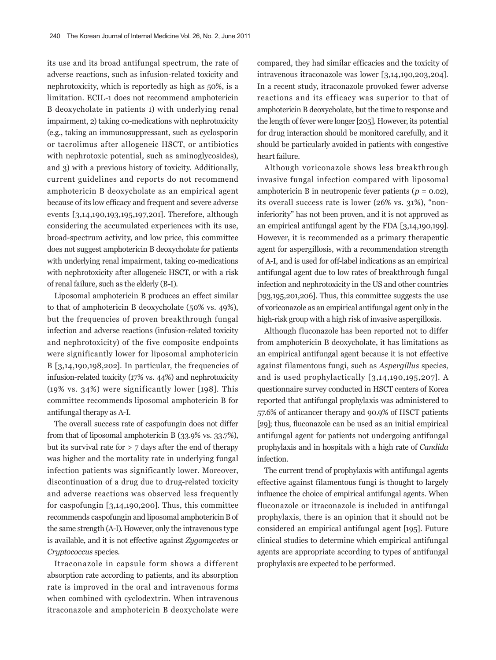its use and its broad antifungal spectrum, the rate of adverse reactions, such as infusion-related toxicity and nephrotoxicity, which is reportedly as high as 50%, is a limitation. ECIL-1 does not recommend amphotericin B deoxycholate in patients 1) with underlying renal impairment, 2) taking co-medications with nephrotoxicity (e.g., taking an immunosuppressant, such as cyclosporin or tacrolimus after allogeneic HSCT, or antibiotics with nephrotoxic potential, such as aminoglycosides), and 3) with a previous history of toxicity. Additionally, current guidelines and reports do not recommend amphotericin B deoxycholate as an empirical agent because of its low efficacy and frequent and severe adverse events [3,14,190,193,195,197,201]. Therefore, although considering the accumulated experiences with its use, broad-spectrum activity, and low price, this committee does not suggest amphotericin B deoxycholate for patients with underlying renal impairment, taking co-medications with nephrotoxicity after allogeneic HSCT, or with a risk of renal failure, such as the elderly (B-I).

Liposomal amphotericin B produces an effect similar to that of amphotericin B deoxycholate (50% vs. 49%), but the frequencies of proven breakthrough fungal infection and adverse reactions (infusion-related toxicity and nephrotoxicity) of the five composite endpoints were significantly lower for liposomal amphotericin B  $[3,14,190,198,202]$ . In particular, the frequencies of infusion-related toxicity (17% vs. 44%) and nephrotoxicity (19% vs. 34%) were significantly lower [198]. This committee recommends liposomal amphotericin B for antifungal therapy as A-I.

The overall success rate of caspofungin does not differ from that of liposomal amphotericin B (33.9% vs. 33.7%), but its survival rate for > 7 days after the end of therapy was higher and the mortality rate in underlying fungal infection patients was significantly lower. Moreover, discontinuation of a drug due to drug-related toxicity and adverse reactions was observed less frequently for caspofungin [3,14,190,200]. Thus, this committee recommends caspofungin and liposomal amphotericin B of the same strength (A-I). However, only the intravenous type is available, and it is not effective against *Zygomycetes* or *Cryptococcus* species.

Itraconazole in capsule form shows a different absorption rate according to patients, and its absorption rate is improved in the oral and intravenous forms when combined with cyclodextrin. When intravenous itraconazole and amphotericin B deoxycholate were

compared, they had similar efficacies and the toxicity of intravenous itraconazole was lower [3,14,190,203,204]. In a recent study, itraconazole provoked fewer adverse reactions and its efficacy was superior to that of amphotericin B deoxycholate, but the time to response and the length of fever were longer [205]. However, its potential for drug interaction should be monitored carefully, and it should be particularly avoided in patients with congestive heart failure.

Although voriconazole shows less breakthrough invasive fungal infection compared with liposomal amphotericin B in neutropenic fever patients  $(p = 0.02)$ , its overall success rate is lower (26% vs. 31%), "noninferiority" has not been proven, and it is not approved as an empirical antifungal agent by the FDA [3,14,190,199]. However, it is recommended as a primary therapeutic agent for aspergillosis, with a recommendation strength of A-I, and is used for off-label indications as an empirical antifungal agent due to low rates of breakthrough fungal infection and nephrotoxicity in the US and other countries [193,195,201,206]. Thus, this committee suggests the use of voriconazole as an empirical antifungal agent only in the high-risk group with a high risk of invasive aspergillosis.

Although fluconazole has been reported not to differ from amphotericin B deoxycholate, it has limitations as an empirical antifungal agent because it is not effective against filamentous fungi, such as *Aspergillus* species, and is used prophylactically [3,14,190,195,207]. A questionnaire survey conducted in HSCT centers of Korea reported that antifungal prophylaxis was administered to 57.6% of anticancer therapy and 90.9% of HSCT patients [29]; thus, fluconazole can be used as an initial empirical antifungal agent for patients not undergoing antifungal prophylaxis and in hospitals with a high rate of *Candida* infection.

The current trend of prophylaxis with antifungal agents effective against filamentous fungi is thought to largely influence the choice of empirical antifungal agents. When fluconazole or itraconazole is included in antifungal prophylaxis, there is an opinion that it should not be considered an empirical antifungal agent [195]. Future clinical studies to determine which empirical antifungal agents are appropriate according to types of antifungal prophylaxis are expected to be performed.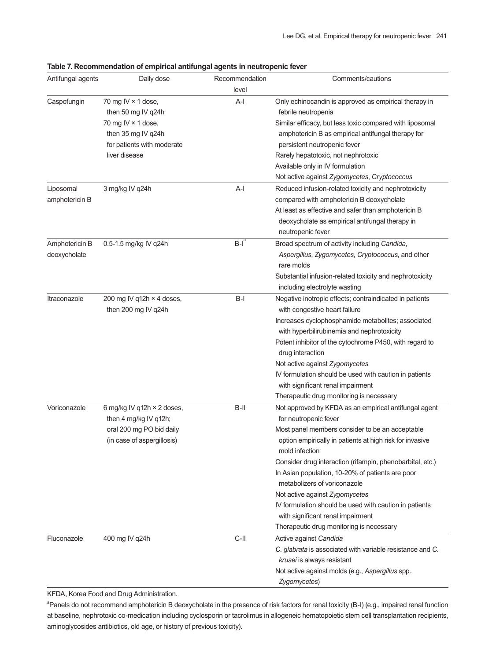| Antifungal agents              | Daily dose                                                                                                    | Recommendation | Comments/cautions                                                                                                                                                                                                                                                                                                                                                                                                                                                                                                                             |
|--------------------------------|---------------------------------------------------------------------------------------------------------------|----------------|-----------------------------------------------------------------------------------------------------------------------------------------------------------------------------------------------------------------------------------------------------------------------------------------------------------------------------------------------------------------------------------------------------------------------------------------------------------------------------------------------------------------------------------------------|
|                                |                                                                                                               | level          |                                                                                                                                                                                                                                                                                                                                                                                                                                                                                                                                               |
| Caspofungin                    | 70 mg IV $\times$ 1 dose,<br>then 50 mg IV q24h<br>70 mg IV $\times$ 1 dose,                                  | A-l            | Only echinocandin is approved as empirical therapy in<br>febrile neutropenia<br>Similar efficacy, but less toxic compared with liposomal                                                                                                                                                                                                                                                                                                                                                                                                      |
|                                | then 35 mg IV q24h<br>for patients with moderate<br>liver disease                                             |                | amphotericin B as empirical antifungal therapy for<br>persistent neutropenic fever<br>Rarely hepatotoxic, not nephrotoxic                                                                                                                                                                                                                                                                                                                                                                                                                     |
|                                |                                                                                                               |                | Available only in IV formulation<br>Not active against Zygomycetes, Cryptococcus                                                                                                                                                                                                                                                                                                                                                                                                                                                              |
| Liposomal<br>amphotericin B    | 3 mg/kg IV q24h                                                                                               | $A-I$          | Reduced infusion-related toxicity and nephrotoxicity<br>compared with amphotericin B deoxycholate<br>At least as effective and safer than amphotericin B<br>deoxycholate as empirical antifungal therapy in<br>neutropenic fever                                                                                                                                                                                                                                                                                                              |
| Amphotericin B<br>deoxycholate | 0.5-1.5 mg/kg IV q24h                                                                                         | $B-I^a$        | Broad spectrum of activity including Candida,<br>Aspergillus, Zygomycetes, Cryptococcus, and other<br>rare molds<br>Substantial infusion-related toxicity and nephrotoxicity<br>including electrolyte wasting                                                                                                                                                                                                                                                                                                                                 |
| Itraconazole                   | 200 mg IV q12h × 4 doses,<br>then 200 mg IV q24h                                                              | $B-I$          | Negative inotropic effects; contraindicated in patients<br>with congestive heart failure<br>Increases cyclophosphamide metabolites; associated<br>with hyperbilirubinemia and nephrotoxicity<br>Potent inhibitor of the cytochrome P450, with regard to<br>drug interaction<br>Not active against Zygomycetes<br>IV formulation should be used with caution in patients<br>with significant renal impairment<br>Therapeutic drug monitoring is necessary                                                                                      |
| Voriconazole                   | 6 mg/kg IV q12h × 2 doses,<br>then 4 mg/kg IV q12h;<br>oral 200 mg PO bid daily<br>(in case of aspergillosis) | $B-II$         | Not approved by KFDA as an empirical antifungal agent<br>for neutropenic fever<br>Most panel members consider to be an acceptable<br>option empirically in patients at high risk for invasive<br>mold infection<br>Consider drug interaction (rifampin, phenobarbital, etc.)<br>In Asian population, 10-20% of patients are poor<br>metabolizers of voriconazole<br>Not active against Zygomycetes<br>IV formulation should be used with caution in patients<br>with significant renal impairment<br>Therapeutic drug monitoring is necessary |
| Fluconazole                    | 400 mg IV q24h                                                                                                | $C-II$         | Active against Candida<br>C. glabrata is associated with variable resistance and C.<br>krusei is always resistant<br>Not active against molds (e.g., Aspergillus spp.,<br>Zygomycetes)                                                                                                                                                                                                                                                                                                                                                        |

### **Table 7. Recommendation of empirical antifungal agents in neutropenic fever**

KFDA, Korea Food and Drug Administration.

<sup>a</sup>Panels do not recommend amphotericin B deoxycholate in the presence of risk factors for renal toxicity (B-I) (e.g., impaired renal function at baseline, nephrotoxic co-medication including cyclosporin or tacrolimus in allogeneic hematopoietic stem cell transplantation recipients, aminoglycosides antibiotics, old age, or history of previous toxicity).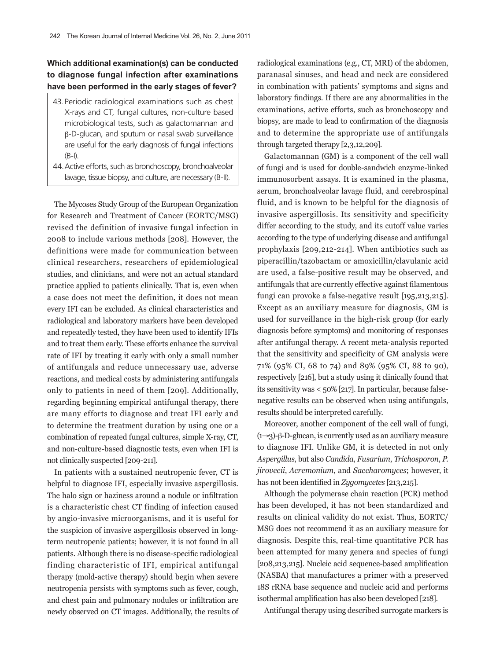# **Which additional examination(s) can be conducted to diagnose fungal infection after examinations have been performed in the early stages of fever?**

- 43. Periodic radiological examinations such as chest X-rays and CT, fungal cultures, non-culture based microbiological tests, such as galactomannan and β-D-glucan, and sputum or nasal swab surveillance are useful for the early diagnosis of fungal infections (B-I).
- 44. Active efforts, such as bronchoscopy, bronchoalveolar lavage, tissue biopsy, and culture, are necessary (B-II).

The Mycoses Study Group of the European Organization for Research and Treatment of Cancer (EORTC/MSG) revised the definition of invasive fungal infection in 2008 to include various methods [208]. However, the definitions were made for communication between clinical researchers, researchers of epidemiological studies, and clinicians, and were not an actual standard practice applied to patients clinically. That is, even when a case does not meet the definition, it does not mean every IFI can be excluded. As clinical characteristics and radiological and laboratory markers have been developed and repeatedly tested, they have been used to identify IFIs and to treat them early. These efforts enhance the survival rate of IFI by treating it early with only a small number of antifungals and reduce unnecessary use, adverse reactions, and medical costs by administering antifungals only to patients in need of them [209]. Additionally, regarding beginning empirical antifungal therapy, there are many efforts to diagnose and treat IFI early and to determine the treatment duration by using one or a combination of repeated fungal cultures, simple X-ray, CT, and non-culture-based diagnostic tests, even when IFI is not clinically suspected [209-211].

In patients with a sustained neutropenic fever, CT is helpful to diagnose IFI, especially invasive aspergillosis. The halo sign or haziness around a nodule or infiltration is a characteristic chest CT finding of infection caused by angio-invasive microorganisms, and it is useful for the suspicion of invasive aspergillosis observed in longterm neutropenic patients; however, it is not found in all patients. Although there is no disease-specific radiological finding characteristic of IFI, empirical antifungal therapy (mold-active therapy) should begin when severe neutropenia persists with symptoms such as fever, cough, and chest pain and pulmonary nodules or infiltration are newly observed on CT images. Additionally, the results of radiological examinations (e.g., CT, MRI) of the abdomen, paranasal sinuses, and head and neck are considered in combination with patients' symptoms and signs and laboratory findings. If there are any abnormalities in the examinations, active efforts, such as bronchoscopy and biopsy, are made to lead to confirmation of the diagnosis and to determine the appropriate use of antifungals through targeted therapy [2,3,12,209].

Galactomannan (GM) is a component of the cell wall of fungi and is used for double-sandwich enzyme-linked immunosorbent assays. It is examined in the plasma, serum, bronchoalveolar lavage fluid, and cerebrospinal fluid, and is known to be helpful for the diagnosis of invasive aspergillosis. Its sensitivity and specificity differ according to the study, and its cutoff value varies according to the type of underlying disease and antifungal prophylaxis [209,212-214]. When antibiotics such as piperacillin/tazobactam or amoxicillin/clavulanic acid are used, a false-positive result may be observed, and antifungals that are currently effective against filamentous fungi can provoke a false-negative result [195,213,215]. Except as an auxiliary measure for diagnosis, GM is used for surveillance in the high-risk group (for early diagnosis before symptoms) and monitoring of responses after antifungal therapy. A recent meta-analysis reported that the sensitivity and specificity of GM analysis were 71% (95% CI, 68 to 74) and 89% (95% CI, 88 to 90), respectively [216], but a study using it clinically found that its sensitivity was < 50% [217]. In particular, because falsenegative results can be observed when using antifungals, results should be interpreted carefully.

Moreover, another component of the cell wall of fungi, (1→3)-β-D-glucan, is currently used as an auxiliary measure to diagnose IFI. Unlike GM, it is detected in not only *Aspergillus*, but also *Candida*, *Fusarium*, *Trichosporon*, *P*. *jirovecii*, *Acremonium*, and *Saccharomyces*; however, it has not been identified in *Zygomycetes* [213,215].

Although the polymerase chain reaction (PCR) method has been developed, it has not been standardized and results on clinical validity do not exist. Thus, EORTC/ MSG does not recommend it as an auxiliary measure for diagnosis. Despite this, real-time quantitative PCR has been attempted for many genera and species of fungi [208,213,215]. Nucleic acid sequence-based amplification (NASBA) that manufactures a primer with a preserved 18S rRNA base sequence and nucleic acid and performs isothermal amplification has also been developed [218].

Antifungal therapy using described surrogate markers is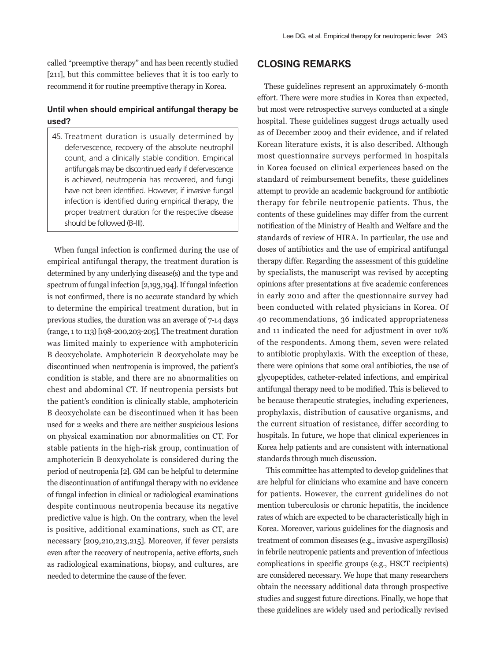called "preemptive therapy" and has been recently studied [211], but this committee believes that it is too early to recommend it for routine preemptive therapy in Korea.

### **Until when should empirical antifungal therapy be used?**

45. Treatment duration is usually determined by defervescence, recovery of the absolute neutrophil count, and a clinically stable condition. Empirical antifungals may be discontinued early if defervescence is achieved, neutropenia has recovered, and fungi have not been identified. However, if invasive fungal infection is identified during empirical therapy, the proper treatment duration for the respective disease should be followed (B-III).

When fungal infection is confirmed during the use of empirical antifungal therapy, the treatment duration is determined by any underlying disease(s) and the type and spectrum of fungal infection [2,193,194]. If fungal infection is not confirmed, there is no accurate standard by which to determine the empirical treatment duration, but in previous studies, the duration was an average of 7-14 days (range, 1 to 113) [198-200,203-205]. The treatment duration was limited mainly to experience with amphotericin B deoxycholate. Amphotericin B deoxycholate may be discontinued when neutropenia is improved, the patient's condition is stable, and there are no abnormalities on chest and abdominal CT. If neutropenia persists but the patient's condition is clinically stable, amphotericin B deoxycholate can be discontinued when it has been used for 2 weeks and there are neither suspicious lesions on physical examination nor abnormalities on CT. For stable patients in the high-risk group, continuation of amphotericin B deoxycholate is considered during the period of neutropenia [2]. GM can be helpful to determine the discontinuation of antifungal therapy with no evidence of fungal infection in clinical or radiological examinations despite continuous neutropenia because its negative predictive value is high. On the contrary, when the level is positive, additional examinations, such as CT, are necessary [209,210,213,215]. Moreover, if fever persists even after the recovery of neutropenia, active efforts, such as radiological examinations, biopsy, and cultures, are needed to determine the cause of the fever.

# **CLOSING REMARKS**

These guidelines represent an approximately 6-month effort. There were more studies in Korea than expected, but most were retrospective surveys conducted at a single hospital. These guidelines suggest drugs actually used as of December 2009 and their evidence, and if related Korean literature exists, it is also described. Although most questionnaire surveys performed in hospitals in Korea focused on clinical experiences based on the standard of reimbursement benefits, these guidelines attempt to provide an academic background for antibiotic therapy for febrile neutropenic patients. Thus, the contents of these guidelines may differ from the current notification of the Ministry of Health and Welfare and the standards of review of HIRA. In particular, the use and doses of antibiotics and the use of empirical antifungal therapy differ. Regarding the assessment of this guideline by specialists, the manuscript was revised by accepting opinions after presentations at five academic conferences in early 2010 and after the questionnaire survey had been conducted with related physicians in Korea. Of 40 recommendations, 36 indicated appropriateness and 11 indicated the need for adjustment in over 10% of the respondents. Among them, seven were related to antibiotic prophylaxis. With the exception of these, there were opinions that some oral antibiotics, the use of glycopeptides, catheter-related infections, and empirical antifungal therapy need to be modified. This is believed to be because therapeutic strategies, including experiences, prophylaxis, distribution of causative organisms, and the current situation of resistance, differ according to hospitals. In future, we hope that clinical experiences in Korea help patients and are consistent with international standards through much discussion.

 This committee has attempted to develop guidelines that are helpful for clinicians who examine and have concern for patients. However, the current guidelines do not mention tuberculosis or chronic hepatitis, the incidence rates of which are expected to be characteristically high in Korea. Moreover, various guidelines for the diagnosis and treatment of common diseases (e.g., invasive aspergillosis) in febrile neutropenic patients and prevention of infectious complications in specific groups (e.g., HSCT recipients) are considered necessary. We hope that many researchers obtain the necessary additional data through prospective studies and suggest future directions. Finally, we hope that these guidelines are widely used and periodically revised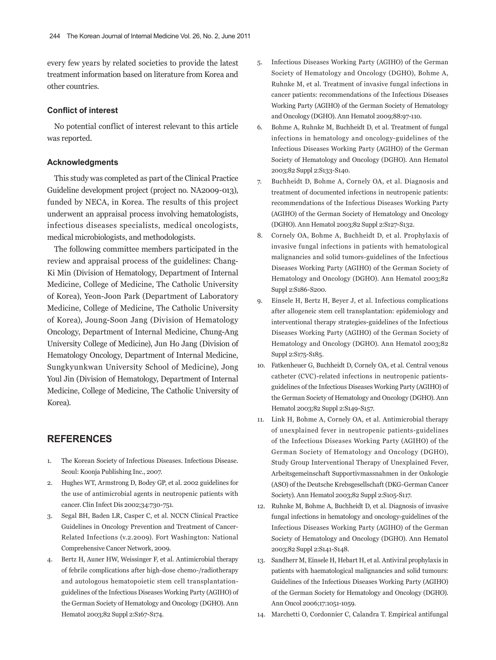every few years by related societies to provide the latest treatment information based on literature from Korea and other countries.

### **Conflict of interest**

No potential conflict of interest relevant to this article was reported.

#### **Acknowledgments**

This study was completed as part of the Clinical Practice Guideline development project (project no. NA2009-013), funded by NECA, in Korea. The results of this project underwent an appraisal process involving hematologists, infectious diseases specialists, medical oncologists, medical microbiologists, and methodologists.

The following committee members participated in the review and appraisal process of the guidelines: Chang-Ki Min (Division of Hematology, Department of Internal Medicine, College of Medicine, The Catholic University of Korea), Yeon-Joon Park (Department of Laboratory Medicine, College of Medicine, The Catholic University of Korea), Joung-Soon Jang (Division of Hematology Oncology, Department of Internal Medicine, Chung-Ang University College of Medicine), Jun Ho Jang (Division of Hematology Oncology, Department of Internal Medicine, Sungkyunkwan University School of Medicine), Jong Youl Jin (Division of Hematology, Department of Internal Medicine, College of Medicine, The Catholic University of Korea).

# **REFERENCES**

- 1. The Korean Society of Infectious Diseases. Infectious Disease. Seoul: Koonja Publishing Inc., 2007.
- 2. Hughes WT, Armstrong D, Bodey GP, et al. 2002 guidelines for the use of antimicrobial agents in neutropenic patients with cancer. Clin Infect Dis 2002;34:730-751.
- 3. Segal BH, Baden LR, Casper C, et al. NCCN Clinical Practice Guidelines in Oncology Prevention and Treatment of Cancer-Related Infections (v.2.2009). Fort Washington: National Comprehensive Cancer Network, 2009.
- 4. Bertz H, Auner HW, Weissinger F, et al. Antimicrobial therapy of febrile complications after high-dose chemo-/radiotherapy and autologous hematopoietic stem cell transplantationguidelines of the Infectious Diseases Working Party (AGIHO) of the German Society of Hematology and Oncology (DGHO). Ann Hematol 2003;82 Suppl 2:S167-S174.
- 5. Infectious Diseases Working Party (AGIHO) of the German Society of Hematology and Oncology (DGHO), Bohme A, Ruhnke M, et al. Treatment of invasive fungal infections in cancer patients: recommendations of the Infectious Diseases Working Party (AGIHO) of the German Society of Hematology and Oncology (DGHO). Ann Hematol 2009;88:97-110.
- 6. Bohme A, Ruhnke M, Buchheidt D, et al. Treatment of fungal infections in hematology and oncology-guidelines of the Infectious Diseases Working Party (AGIHO) of the German Society of Hematology and Oncology (DGHO). Ann Hematol 2003;82 Suppl 2:S133-S140.
- 7. Buchheidt D, Bohme A, Cornely OA, et al. Diagnosis and treatment of documented infections in neutropenic patients: recommendations of the Infectious Diseases Working Party (AGIHO) of the German Society of Hematology and Oncology (DGHO). Ann Hematol 2003;82 Suppl 2:S127-S132.
- 8. Cornely OA, Bohme A, Buchheidt D, et al. Prophylaxis of invasive fungal infections in patients with hematological malignancies and solid tumors-guidelines of the Infectious Diseases Working Party (AGIHO) of the German Society of Hematology and Oncology (DGHO). Ann Hematol 2003;82 Suppl 2:S186-S200.
- 9. Einsele H, Bertz H, Beyer J, et al. Infectious complications after allogeneic stem cell transplantation: epidemiology and interventional therapy strategies-guidelines of the Infectious Diseases Working Party (AGIHO) of the German Society of Hematology and Oncology (DGHO). Ann Hematol 2003;82 Suppl 2:S175-S185.
- 10. Fatkenheuer G, Buchheidt D, Cornely OA, et al. Central venous catheter (CVC)-related infections in neutropenic patientsguidelines of the Infectious Diseases Working Party (AGIHO) of the German Society of Hematology and Oncology (DGHO). Ann Hematol 2003;82 Suppl 2:S149-S157.
- 11. Link H, Bohme A, Cornely OA, et al. Antimicrobial therapy of unexplained fever in neutropenic patients-guidelines of the Infectious Diseases Working Party (AGIHO) of the German Society of Hematology and Oncology (DGHO), Study Group Interventional Therapy of Unexplained Fever, Arbeitsgemeinschaft Supportivmassnahmen in der Onkologie (ASO) of the Deutsche Krebsgesellschaft (DKG-German Cancer Society). Ann Hematol 2003;82 Suppl 2:S105-S117.
- 12. Ruhnke M, Bohme A, Buchheidt D, et al. Diagnosis of invasive fungal infections in hematology and oncology-guidelines of the Infectious Diseases Working Party (AGIHO) of the German Society of Hematology and Oncology (DGHO). Ann Hematol 2003;82 Suppl 2:S141-S148.
- 13. Sandherr M, Einsele H, Hebart H, et al. Antiviral prophylaxis in patients with haematological malignancies and solid tumours: Guidelines of the Infectious Diseases Working Party (AGIHO) of the German Society for Hematology and Oncology (DGHO). Ann Oncol 2006;17:1051-1059.
- 14. Marchetti O, Cordonnier C, Calandra T. Empirical antifungal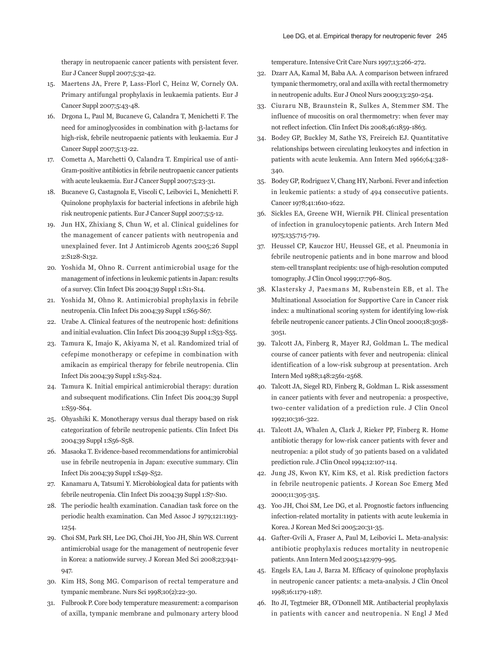therapy in neutropaenic cancer patients with persistent fever. Eur J Cancer Suppl 2007;5:32-42.

- 15. Maertens JA, Frere P, Lass-Florl C, Heinz W, Cornely OA. Primary antifungal prophylaxis in leukaemia patients. Eur J Cancer Suppl 2007;5:43-48.
- 16. Drgona L, Paul M, Bucaneve G, Calandra T, Menichetti F. The need for aminoglycosides in combination with β-lactams for high-risk, febrile neutropaenic patients with leukaemia. Eur J Cancer Suppl 2007;5:13-22.
- 17. Cometta A, Marchetti O, Calandra T. Empirical use of anti-Gram-positive antibiotics in febrile neutropaenic cancer patients with acute leukaemia. Eur J Cancer Suppl 2007;5:23-31.
- 18. Bucaneve G, Castagnola E, Viscoli C, Leibovici L, Menichetti F. Quinolone prophylaxis for bacterial infections in afebrile high risk neutropenic patients. Eur J Cancer Suppl 2007;5:5-12.
- 19. Jun HX, Zhixiang S, Chun W, et al. Clinical guidelines for the management of cancer patients with neutropenia and unexplained fever. Int J Antimicrob Agents 2005;26 Suppl 2:S128-S132.
- 20. Yoshida M, Ohno R. Current antimicrobial usage for the management of infections in leukemic patients in Japan: results of a survey. Clin Infect Dis 2004;39 Suppl 1:S11-S14.
- 21. Yoshida M, Ohno R. Antimicrobial prophylaxis in febrile neutropenia. Clin Infect Dis 2004;39 Suppl 1:S65-S67.
- 22. Urabe A. Clinical features of the neutropenic host: definitions and initial evaluation. Clin Infect Dis 2004;39 Suppl 1:S53-S55.
- 23. Tamura K, Imajo K, Akiyama N, et al. Randomized trial of cefepime monotherapy or cefepime in combination with amikacin as empirical therapy for febrile neutropenia. Clin Infect Dis 2004;39 Suppl 1:S15-S24.
- 24. Tamura K. Initial empirical antimicrobial therapy: duration and subsequent modifications. Clin Infect Dis 2004;39 Suppl 1:S59-S64.
- 25. Ohyashiki K. Monotherapy versus dual therapy based on risk categorization of febrile neutropenic patients. Clin Infect Dis 2004;39 Suppl 1:S56-S58.
- 26. Masaoka T. Evidence-based recommendations for antimicrobial use in febrile neutropenia in Japan: executive summary. Clin Infect Dis 2004;39 Suppl 1:S49-S52.
- 27. Kanamaru A, Tatsumi Y. Microbiological data for patients with febrile neutropenia. Clin Infect Dis 2004;39 Suppl 1:S7-S10.
- 28. The periodic health examination. Canadian task force on the periodic health examination. Can Med Assoc J 1979;121:1193- 1254.
- 29. Choi SM, Park SH, Lee DG, Choi JH, Yoo JH, Shin WS. Current antimicrobial usage for the management of neutropenic fever in Korea: a nationwide survey. J Korean Med Sci 2008;23:941- 947.
- 30. Kim HS, Song MG. Comparison of rectal temperature and tympanic membrane. Nurs Sci 1998;10(2):22-30.
- 31. Fulbrook P. Core body temperature measurement: a comparison of axilla, tympanic membrane and pulmonary artery blood

temperature. Intensive Crit Care Nurs 1997;13:266-272.

- 32. Dzarr AA, Kamal M, Baba AA. A comparison between infrared tympanic thermometry, oral and axilla with rectal thermometry in neutropenic adults. Eur J Oncol Nurs 2009;13:250-254.
- 33. Ciuraru NB, Braunstein R, Sulkes A, Stemmer SM. The influence of mucositis on oral thermometry: when fever may not reflect infection. Clin Infect Dis 2008;46:1859-1863.
- 34. Bodey GP, Buckley M, Sathe YS, Freireich EJ. Quantitative relationships between circulating leukocytes and infection in patients with acute leukemia. Ann Intern Med 1966;64:328- 340.
- 35. Bodey GP, Rodriguez V, Chang HY, Narboni. Fever and infection in leukemic patients: a study of 494 consecutive patients. Cancer 1978;41:1610-1622.
- 36. Sickles EA, Greene WH, Wiernik PH. Clinical presentation of infection in granulocytopenic patients. Arch Intern Med 1975;135:715-719.
- 37. Heussel CP, Kauczor HU, Heussel GE, et al. Pneumonia in febrile neutropenic patients and in bone marrow and blood stem-cell transplant recipients: use of high-resolution computed tomography. J Clin Oncol 1999;17:796-805.
- 38. Klastersky J, Paesmans M, Rubenstein EB, et al. The Multinational Association for Supportive Care in Cancer risk index: a multinational scoring system for identifying low-risk febrile neutropenic cancer patients. J Clin Oncol 2000;18:3038- 3051.
- 39. Talcott JA, Finberg R, Mayer RJ, Goldman L. The medical course of cancer patients with fever and neutropenia: clinical identification of a low-risk subgroup at presentation. Arch Intern Med 1988;148:2561-2568.
- 40. Talcott JA, Siegel RD, Finberg R, Goldman L. Risk assessment in cancer patients with fever and neutropenia: a prospective, two-center validation of a prediction rule. J Clin Oncol 1992;10:316-322.
- 41. Talcott JA, Whalen A, Clark J, Rieker PP, Finberg R. Home antibiotic therapy for low-risk cancer patients with fever and neutropenia: a pilot study of 30 patients based on a validated prediction rule. J Clin Oncol 1994;12:107-114.
- 42. Jung JS, Kwon KY, Kim KS, et al. Risk prediction factors in febrile neutropenic patients. J Korean Soc Emerg Med 2000;11:305-315.
- 43. Yoo JH, Choi SM, Lee DG, et al. Prognostic factors influencing infection-related mortality in patients with acute leukemia in Korea. J Korean Med Sci 2005;20:31-35.
- 44. Gafter-Gvili A, Fraser A, Paul M, Leibovici L. Meta-analysis: antibiotic prophylaxis reduces mortality in neutropenic patients. Ann Intern Med 2005;142:979-995.
- 45. Engels EA, Lau J, Barza M. Efficacy of quinolone prophylaxis in neutropenic cancer patients: a meta-analysis. J Clin Oncol 1998;16:1179-1187.
- 46. Ito JI, Tegtmeier BR, O'Donnell MR. Antibacterial prophylaxis in patients with cancer and neutropenia. N Engl J Med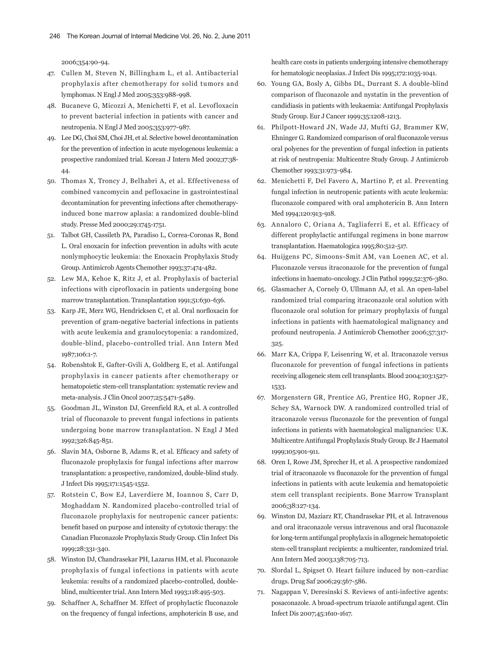2006;354:90-94.

- 47. Cullen M, Steven N, Billingham L, et al. Antibacterial prophylaxis after chemotherapy for solid tumors and lymphomas. N Engl J Med 2005;353:988-998.
- 48. Bucaneve G, Micozzi A, Menichetti F, et al. Levofloxacin to prevent bacterial infection in patients with cancer and neutropenia. N Engl J Med 2005;353:977-987.
- 49. Lee DG, Choi SM, Choi JH, et al. Selective bowel decontamination for the prevention of infection in acute myelogenous leukemia: a prospective randomized trial. Korean J Intern Med 2002;17:38- 44.
- 50. Thomas X, Troncy J, Belhabri A, et al. Effectiveness of combined vancomycin and pefloxacine in gastrointestinal decontamination for preventing infections after chemotherapyinduced bone marrow aplasia: a randomized double-blind study. Presse Med 2000;29:1745-1751.
- 51. Talbot GH, Cassileth PA, Paradiso L, Correa-Coronas R, Bond L. Oral enoxacin for infection prevention in adults with acute nonlymphocytic leukemia: the Enoxacin Prophylaxis Study Group. Antimicrob Agents Chemother 1993;37:474-482.
- 52. Lew MA, Kehoe K, Ritz J, et al. Prophylaxis of bacterial infections with ciprofloxacin in patients undergoing bone marrow transplantation. Transplantation 1991;51:630-636.
- 53. Karp JE, Merz WG, Hendricksen C, et al. Oral norfloxacin for prevention of gram-negative bacterial infections in patients with acute leukemia and granulocytopenia: a randomized, double-blind, placebo-controlled trial. Ann Intern Med 1987;106:1-7.
- 54. Robenshtok E, Gafter-Gvili A, Goldberg E, et al. Antifungal prophylaxis in cancer patients after chemotherapy or hematopoietic stem-cell transplantation: systematic review and meta-analysis. J Clin Oncol 2007;25:5471-5489.
- 55. Goodman JL, Winston DJ, Greenfield RA, et al. A controlled trial of fluconazole to prevent fungal infections in patients undergoing bone marrow transplantation. N Engl J Med 1992;326:845-851.
- 56. Slavin MA, Osborne B, Adams R, et al. Efficacy and safety of fluconazole prophylaxis for fungal infections after marrow transplantation: a prospective, randomized, double-blind study. J Infect Dis 1995;171:1545-1552.
- 57. Rotstein C, Bow EJ, Laverdiere M, Ioannou S, Carr D, Moghaddam N. Randomized placebo-controlled trial of fluconazole prophylaxis for neutropenic cancer patients: benefit based on purpose and intensity of cytotoxic therapy: the Canadian Fluconazole Prophylaxis Study Group. Clin Infect Dis 1999;28:331-340.
- 58. Winston DJ, Chandrasekar PH, Lazarus HM, et al. Fluconazole prophylaxis of fungal infections in patients with acute leukemia: results of a randomized placebo-controlled, doubleblind, multicenter trial. Ann Intern Med 1993;118:495-503.
- 59. Schaffner A, Schaffner M. Effect of prophylactic fluconazole on the frequency of fungal infections, amphotericin B use, and

health care costs in patients undergoing intensive chemotherapy for hematologic neoplasias. J Infect Dis 1995;172:1035-1041.

- 60. Young GA, Bosly A, Gibbs DL, Durrant S. A double-blind comparison of fluconazole and nystatin in the prevention of candidiasis in patients with leukaemia: Antifungal Prophylaxis Study Group. Eur J Cancer 1999;35:1208-1213.
- 61. Philpott-Howard JN, Wade JJ, Mufti GJ, Brammer KW, Ehninger G. Randomized comparison of oral fluconazole versus oral polyenes for the prevention of fungal infection in patients at risk of neutropenia: Multicentre Study Group. J Antimicrob Chemother 1993;31:973-984.
- 62. Menichetti F, Del Favero A, Martino P, et al. Preventing fungal infection in neutropenic patients with acute leukemia: fluconazole compared with oral amphotericin B. Ann Intern Med 1994;120:913-918.
- 63. Annaloro C, Oriana A, Tagliaferri E, et al. Efficacy of different prophylactic antifungal regimens in bone marrow transplantation. Haematologica 1995;80:512-517.
- 64. Huijgens PC, Simoons-Smit AM, van Loenen AC, et al. Fluconazole versus itraconazole for the prevention of fungal infections in haemato-oncology. J Clin Pathol 1999;52:376-380.
- 65. Glasmacher A, Cornely O, Ullmann AJ, et al. An open-label randomized trial comparing itraconazole oral solution with fluconazole oral solution for primary prophylaxis of fungal infections in patients with haematological malignancy and profound neutropenia. J Antimicrob Chemother 2006;57:317- 325.
- 66. Marr KA, Crippa F, Leisenring W, et al. Itraconazole versus fluconazole for prevention of fungal infections in patients receiving allogeneic stem cell transplants. Blood 2004;103:1527- 1533.
- 67. Morgenstern GR, Prentice AG, Prentice HG, Ropner JE, Schey SA, Warnock DW. A randomized controlled trial of itraconazole versus fluconazole for the prevention of fungal infections in patients with haematological malignancies: U.K. Multicentre Antifungal Prophylaxis Study Group. Br J Haematol 1999;105:901-911.
- 68. Oren I, Rowe JM, Sprecher H, et al. A prospective randomized trial of itraconazole vs fluconazole for the prevention of fungal infections in patients with acute leukemia and hematopoietic stem cell transplant recipients. Bone Marrow Transplant 2006;38:127-134.
- 69. Winston DJ, Maziarz RT, Chandrasekar PH, et al. Intravenous and oral itraconazole versus intravenous and oral fluconazole for long-term antifungal prophylaxis in allogeneic hematopoietic stem-cell transplant recipients: a multicenter, randomized trial. Ann Intern Med 2003;138:705-713.
- 70. Slordal L, Spigset O. Heart failure induced by non-cardiac drugs. Drug Saf 2006;29:567-586.
- 71. Nagappan V, Deresinski S. Reviews of anti-infective agents: posaconazole. A broad-spectrum triazole antifungal agent. Clin Infect Dis 2007;45:1610-1617.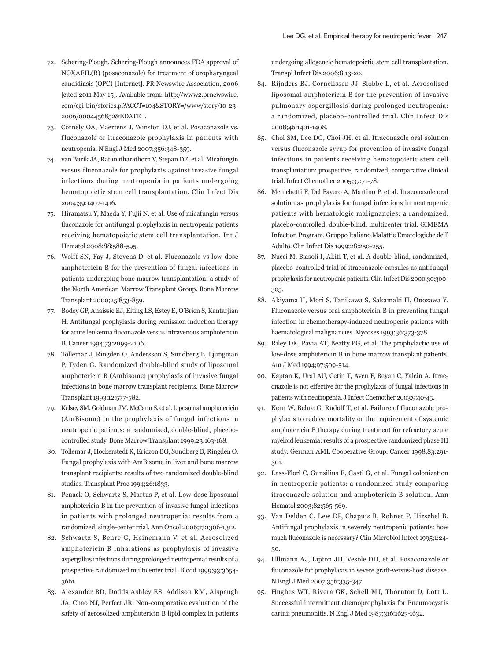- 72. Schering-Plough. Schering-Plough announces FDA approval of NOXAFIL(R) (posaconazole) for treatment of oropharyngeal candidiasis (OPC) [Internet]. PR Newswire Association, 2006 [cited 2011 May 15]. Available from: http://www2.prnewswire. com/cgi-bin/stories.pl?ACCT=104&STORY=/www/story/10-23- 2006/0004456852&EDATE=.
- 73. Cornely OA, Maertens J, Winston DJ, et al. Posaconazole vs. f luconazole or itraconazole prophylaxis in patients with neutropenia. N Engl J Med 2007;356:348-359.
- 74. van Burik JA, Ratanatharathorn V, Stepan DE, et al. Micafungin versus fluconazole for prophylaxis against invasive fungal infections during neutropenia in patients undergoing hematopoietic stem cell transplantation. Clin Infect Dis 2004;39:1407-1416.
- 75. Hiramatsu Y, Maeda Y, Fujii N, et al. Use of micafungin versus fluconazole for antifungal prophylaxis in neutropenic patients receiving hematopoietic stem cell transplantation. Int J Hematol 2008;88:588-595.
- 76. Wolff SN, Fay J, Stevens D, et al. Fluconazole vs low-dose amphotericin B for the prevention of fungal infections in patients undergoing bone marrow transplantation: a study of the North American Marrow Transplant Group. Bone Marrow Transplant 2000;25:853-859.
- 77. Bodey GP, Anaissie EJ, Elting LS, Estey E, O'Brien S, Kantarjian H. Antifungal prophylaxis during remission induction therapy for acute leukemia fluconazole versus intravenous amphotericin B. Cancer 1994;73:2099-2106.
- 78. Tollemar J, Ringden O, Andersson S, Sundberg B, Ljungman P, Tyden G. Randomized double-blind study of liposomal amphotericin B (Ambisome) prophylaxis of invasive fungal infections in bone marrow transplant recipients. Bone Marrow Transplant 1993;12:577-582.
- 79. Kelsey SM, Goldman JM, McCann S, et al. Liposomal amphotericin (AmBisome) in the prophylaxis of fungal infections in neutropenic patients: a randomised, double-blind, placebocontrolled study. Bone Marrow Transplant 1999;23:163-168.
- 80. Tollemar J, Hockerstedt K, Ericzon BG, Sundberg B, Ringden O. Fungal prophylaxis with AmBisome in liver and bone marrow transplant recipients: results of two randomized double-blind studies. Transplant Proc 1994;26:1833.
- 81. Penack O, Schwartz S, Martus P, et al. Low-dose liposomal amphotericin B in the prevention of invasive fungal infections in patients with prolonged neutropenia: results from a randomized, single-center trial. Ann Oncol 2006;17:1306-1312.
- 82. Schwartz S, Behre G, Heinemann V, et al. Aerosolized amphotericin B inhalations as prophylaxis of invasive aspergillus infections during prolonged neutropenia: results of a prospective randomized multicenter trial. Blood 1999;93:3654- 3661.
- 83. Alexander BD, Dodds Ashley ES, Addison RM, Alspaugh JA, Chao NJ, Perfect JR. Non-comparative evaluation of the safety of aerosolized amphotericin B lipid complex in patients

undergoing allogeneic hematopoietic stem cell transplantation. Transpl Infect Dis 2006;8:13-20.

- 84. Rijnders BJ, Cornelissen JJ, Slobbe L, et al. Aerosolized liposomal amphotericin B for the prevention of invasive pulmonary aspergillosis during prolonged neutropenia: a randomized, placebo-controlled trial. Clin Infect Dis 2008;46:1401-1408.
- 85. Choi SM, Lee DG, Choi JH, et al. Itraconazole oral solution versus fluconazole syrup for prevention of invasive fungal infections in patients receiving hematopoietic stem cell transplantation: prospective, randomized, comparative clinical trial. Infect Chemother 2005;37:71-78.
- 86. Menichetti F, Del Favero A, Martino P, et al. Itraconazole oral solution as prophylaxis for fungal infections in neutropenic patients with hematologic malignancies: a randomized, placebo-controlled, double-blind, multicenter trial. GIMEMA Infection Program. Gruppo Italiano Malattie Ematologiche dell' Adulto. Clin Infect Dis 1999;28:250-255.
- 87. Nucci M, Biasoli I, Akiti T, et al. A double-blind, randomized, placebo-controlled trial of itraconazole capsules as antifungal prophylaxis for neutropenic patients. Clin Infect Dis 2000;30:300- 305.
- 88. Akiyama H, Mori S, Tanikawa S, Sakamaki H, Onozawa Y. Fluconazole versus oral amphotericin B in preventing fungal infection in chemotherapy-induced neutropenic patients with haematological malignancies. Mycoses 1993;36:373-378.
- 89. Riley DK, Pavia AT, Beatty PG, et al. The prophylactic use of low-dose amphotericin B in bone marrow transplant patients. Am J Med 1994;97:509-514.
- 90. Kaptan K, Ural AU, Cetin T, Avcu F, Beyan C, Yalcin A. Itraconazole is not effective for the prophylaxis of fungal infections in patients with neutropenia. J Infect Chemother 2003;9:40-45.
- 91. Kern W, Behre G, Rudolf T, et al. Failure of fluconazole prophylaxis to reduce mortality or the requirement of systemic amphotericin B therapy during treatment for refractory acute myeloid leukemia: results of a prospective randomized phase III study. German AML Cooperative Group. Cancer 1998;83:291- 301.
- 92. Lass-Florl C, Gunsilius E, Gastl G, et al. Fungal colonization in neutropenic patients: a randomized study comparing itraconazole solution and amphotericin B solution. Ann Hematol 2003;82:565-569.
- 93. Van Delden C, Lew DP, Chapuis B, Rohner P, Hirschel B. Antifungal prophylaxis in severely neutropenic patients: how much fluconazole is necessary? Clin Microbiol Infect 1995;1:24- 30.
- 94. Ullmann AJ, Lipton JH, Vesole DH, et al. Posaconazole or fluconazole for prophylaxis in severe graft-versus-host disease. N Engl J Med 2007;356:335-347.
- 95. Hughes WT, Rivera GK, Schell MJ, Thornton D, Lott L. Successful intermittent chemoprophylaxis for Pneumocystis carinii pneumonitis. N Engl J Med 1987;316:1627-1632.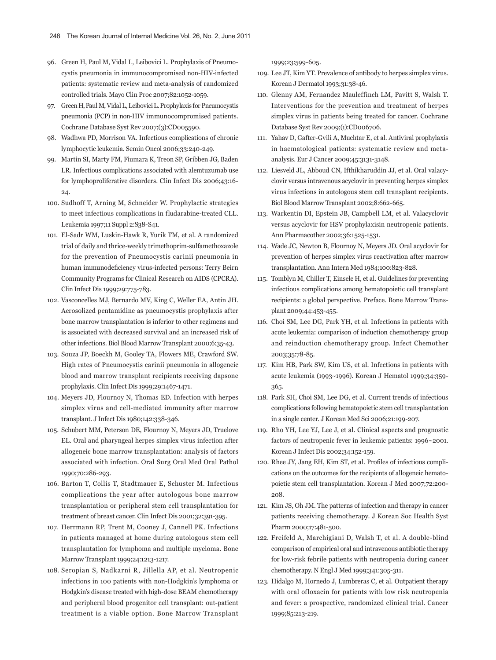- 96. Green H, Paul M, Vidal L, Leibovici L. Prophylaxis of Pneumocystis pneumonia in immunocompromised non-HIV-infected patients: systematic review and meta-analysis of randomized controlled trials. Mayo Clin Proc 2007;82:1052-1059.
- 97. Green H, Paul M, Vidal L, Leibovici L. Prophylaxis for Pneumocystis pneumonia (PCP) in non-HIV immunocompromised patients. Cochrane Database Syst Rev 2007;(3):CD005590.
- 98. Wadhwa PD, Morrison VA. Infectious complications of chronic lymphocytic leukemia. Semin Oncol 2006;33:240-249.
- 99. Martin SI, Marty FM, Fiumara K, Treon SP, Gribben JG, Baden LR. Infectious complications associated with alemtuzumab use for lymphoproliferative disorders. Clin Infect Dis 2006;43:16- 24.
- 100. Sudhoff T, Arning M, Schneider W. Prophylactic strategies to meet infectious complications in fludarabine-treated CLL. Leukemia 1997;11 Suppl 2:S38-S41.
- 101. El-Sadr WM, Luskin-Hawk R, Yurik TM, et al. A randomized trial of daily and thrice-weekly trimethoprim-sulfamethoxazole for the prevention of Pneumocystis carinii pneumonia in human immunodeficiency virus-infected persons: Terry Beirn Community Programs for Clinical Research on AIDS (CPCRA). Clin Infect Dis 1999;29:775-783.
- 102. Vasconcelles MJ, Bernardo MV, King C, Weller EA, Antin JH. Aerosolized pentamidine as pneumocystis prophylaxis after bone marrow transplantation is inferior to other regimens and is associated with decreased survival and an increased risk of other infections. Biol Blood Marrow Transplant 2000;6:35-43.
- 103. Souza JP, Boeckh M, Gooley TA, Flowers ME, Crawford SW. High rates of Pneumocystis carinii pneumonia in allogeneic blood and marrow transplant recipients receiving dapsone prophylaxis. Clin Infect Dis 1999;29:1467-1471.
- 104. Meyers JD, Flournoy N, Thomas ED. Infection with herpes simplex virus and cell-mediated immunity after marrow transplant. J Infect Dis 1980;142:338-346.
- 105. Schubert MM, Peterson DE, Flournoy N, Meyers JD, Truelove EL. Oral and pharyngeal herpes simplex virus infection after allogeneic bone marrow transplantation: analysis of factors associated with infection. Oral Surg Oral Med Oral Pathol 1990;70:286-293.
- 106. Barton T, Collis T, Stadtmauer E, Schuster M. Infectious complications the year after autologous bone marrow transplantation or peripheral stem cell transplantation for treatment of breast cancer. Clin Infect Dis 2001;32:391-395.
- 107. Herrmann RP, Trent M, Cooney J, Cannell PK. Infections in patients managed at home during autologous stem cell transplantation for lymphoma and multiple myeloma. Bone Marrow Transplant 1999;24:1213-1217.
- 108. Seropian S, Nadkarni R, Jillella AP, et al. Neutropenic infections in 100 patients with non-Hodgkin's lymphoma or Hodgkin's disease treated with high-dose BEAM chemotherapy and peripheral blood progenitor cell transplant: out-patient treatment is a viable option. Bone Marrow Transplant

1999;23:599-605.

- 109. Lee JT, Kim YT. Prevalence of antibody to herpes simplex virus. Korean J Dermatol 1993;31:38-46.
- 110. Glenny AM, Fernandez Mauleffinch LM, Pavitt S, Walsh T. Interventions for the prevention and treatment of herpes simplex virus in patients being treated for cancer. Cochrane Database Syst Rev 2009;(1):CD006706.
- 111. Yahav D, Gafter-Gvili A, Muchtar E, et al. Antiviral prophylaxis in haematological patients: systematic review and metaanalysis. Eur J Cancer 2009;45:3131-3148.
- 112. Liesveld JL, Abboud CN, Ifthikharuddin JJ, et al. Oral valacyclovir versus intravenous acyclovir in preventing herpes simplex virus infections in autologous stem cell transplant recipients. Biol Blood Marrow Transplant 2002;8:662-665.
- 113. Warkentin DI, Epstein JB, Campbell LM, et al. Valacyclovir versus acyclovir for HSV prophylaxisin neutropenic patients. Ann Pharmacother 2002;36:1525-1531.
- 114. Wade JC, Newton B, Flournoy N, Meyers JD. Oral acyclovir for prevention of herpes simplex virus reactivation after marrow transplantation. Ann Intern Med 1984;100:823-828.
- 115. Tomblyn M, Chiller T, Einsele H, et al. Guidelines for preventing infectious complications among hematopoietic cell transplant recipients: a global perspective. Preface. Bone Marrow Transplant 2009;44:453-455.
- 116. Choi SM, Lee DG, Park YH, et al. Infections in patients with acute leukemia: comparison of induction chemotherapy group and reinduction chemotherapy group. Infect Chemother 2003;35:78-85.
- 117. Kim HB, Park SW, Kim US, et al. Infections in patients with acute leukemia (1993~1996). Korean J Hematol 1999;34:359- 365.
- 118. Park SH, Choi SM, Lee DG, et al. Current trends of infectious complications following hematopoietic stem cell transplantation in a single center. J Korean Med Sci 2006;21:199-207.
- 119. Rho YH, Lee YJ, Lee J, et al. Clinical aspects and prognostic factors of neutropenic fever in leukemic patients: 1996~2001. Korean J Infect Dis 2002;34:152-159.
- 120. Rhee JY, Jang EH, Kim ST, et al. Profiles of infectious complications on the outcomes for the recipients of allogeneic hematopoietic stem cell transplantation. Korean J Med 2007;72:200- 208.
- 121. Kim JS, Oh JM. The patterns of infection and therapy in cancer patients receiving chemotherapy. J Korean Soc Health Syst Pharm 2000;17:481-500.
- 122. Freifeld A, Marchigiani D, Walsh T, et al. A double-blind comparison of empirical oral and intravenous antibiotic therapy for low-risk febrile patients with neutropenia during cancer chemotherapy. N Engl J Med 1999;341:305-311.
- 123. Hidalgo M, Hornedo J, Lumbreras C, et al. Outpatient therapy with oral ofloxacin for patients with low risk neutropenia and fever: a prospective, randomized clinical trial. Cancer 1999;85:213-219.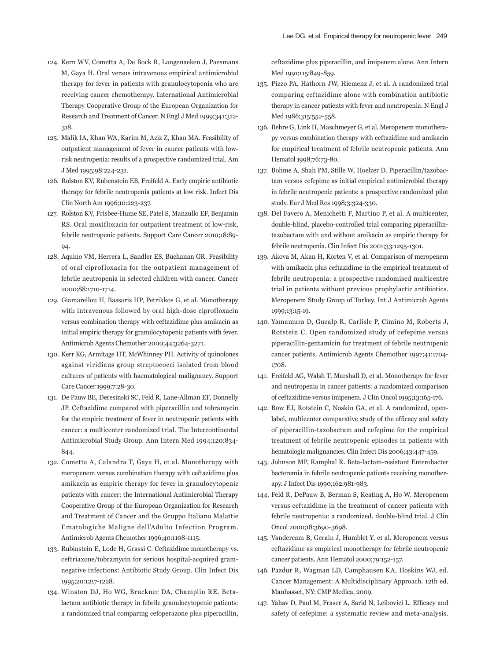- 124. Kern WV, Cometta A, De Bock R, Langenaeken J, Paesmans M, Gaya H. Oral versus intravenous empirical antimicrobial therapy for fever in patients with granulocytopenia who are receiving cancer chemotherapy. International Antimicrobial Therapy Cooperative Group of the European Organization for Research and Treatment of Cancer. N Engl J Med 1999;341:312- 318.
- 125. Malik IA, Khan WA, Karim M, Aziz Z, Khan MA. Feasibility of outpatient management of fever in cancer patients with lowrisk neutropenia: results of a prospective randomized trial. Am J Med 1995;98:224-231.
- 126. Rolston KV, Rubenstein EB, Freifeld A. Early empiric antibiotic therapy for febrile neutropenia patients at low risk. Infect Dis Clin North Am 1996;10:223-237.
- 127. Rolston KV, Frisbee-Hume SE, Patel S, Manzullo EF, Benjamin RS. Oral moxifloxacin for outpatient treatment of low-risk, febrile neutropenic patients. Support Care Cancer 2010;18:89-  $04.$
- 128. Aquino VM, Herrera L, Sandler ES, Buchanan GR. Feasibility of oral ciprofloxacin for the outpatient management of febrile neutropenia in selected children with cancer. Cancer 2000;88:1710-1714.
- 129. Giamarellou H, Bassaris HP, Petrikkos G, et al. Monotherapy with intravenous followed by oral high-dose ciprofloxacin versus combination therapy with ceftazidime plus amikacin as initial empiric therapy for granulocytopenic patients with fever. Antimicrob Agents Chemother 2000;44:3264-3271.
- 130. Kerr KG, Armitage HT, McWhinney PH. Activity of quinolones against viridians group streptococci isolated from blood cultures of patients with haematological malignancy. Support Care Cancer 1999;7:28-30.
- 131. De Pauw BE, Deresinski SC, Feld R, Lane-Allman EF, Donnelly JP. Ceftazidime compared with piperacillin and tobramycin for the empiric treatment of fever in neutropenic patients with cancer: a multicenter randomized trial. The Intercontinental Antimicrobial Study Group. Ann Intern Med 1994;120:834- 844.
- 132. Cometta A, Calandra T, Gaya H, et al. Monotherapy with meropenem versus combination therapy with ceftazidime plus amikacin as empiric therapy for fever in granulocytopenic patients with cancer: the International Antimicrobial Therapy Cooperative Group of the European Organization for Research and Treatment of Cancer and the Gruppo Italiano Malattie Ematologiche Maligne dell'Adulto Infection Program. Antimicrob Agents Chemother 1996;40:1108-1115.
- 133. Rubinstein E, Lode H, Grassi C. Ceftazidime monotherapy vs. ceftriaxone/tobramycin for serious hospital-acquired gramnegative infections: Antibiotic Study Group. Clin Infect Dis 1995;20:1217-1228.
- 134. Winston DJ, Ho WG, Bruckner DA, Champlin RE. Betalactam antibiotic therapy in febrile granulocytopenic patients: a randomized trial comparing cefoperazone plus piperacillin,

ceftazidime plus piperacillin, and imipenem alone. Ann Intern Med 1991;115:849-859.

- 135. Pizzo PA, Hathorn JW, Hiemenz J, et al. A randomized trial comparing ceftazidime alone with combination antibiotic therapy in cancer patients with fever and neutropenia. N Engl J Med 1986;315:552-558.
- 136. Behre G, Link H, Maschmeyer G, et al. Meropenem monotherapy versus combination therapy with ceftazidime and amikacin for empirical treatment of febrile neutropenic patients. Ann Hematol 1998;76:73-80.
- 137. Bohme A, Shah PM, Stille W, Hoelzer D. Piperacillin/tazobactam versus cefepime as initial empirical antimicrobial therapy in febrile neutropenic patients: a prospective randomized pilot study. Eur J Med Res 1998;3:324-330.
- 138. Del Favero A, Menichetti F, Martino P, et al. A multicenter, double-blind, placebo-controlled trial comparing piperacillintazobactam with and without amikacin as empiric therapy for febrile neutropenia. Clin Infect Dis 2001;33:1295-1301.
- 139. Akova M, Akan H, Korten V, et al. Comparison of meropenem with amikacin plus ceftazidime in the empirical treatment of febrile neutropenia: a prospective randomised multicentre trial in patients without previous prophylactic antibiotics. Meropenem Study Group of Turkey. Int J Antimicrob Agents 1999;13:15-19.
- 140. Yamamura D, Gucalp R, Carlisle P, Cimino M, Roberts J, Rotstein C. Open randomized study of cefepime versus piperacillin-gentamicin for treatment of febrile neutropenic cancer patients. Antimicrob Agents Chemother 1997;41:1704- 1708.
- 141. Freifeld AG, Walsh T, Marshall D, et al. Monotherapy for fever and neutropenia in cancer patients: a randomized comparison of ceftazidime versus imipenem. J Clin Oncol 1995;13:165-176.
- 142. Bow EJ, Rotstein C, Noskin GA, et al. A randomized, openlabel, multicenter comparative study of the efficacy and safety of piperacillin-tazobactam and cefepime for the empirical treatment of febrile neutropenic episodes in patients with hematologic malignancies. Clin Infect Dis 2006;43:447-459.
- 143. Johnson MP, Ramphal R. Beta-lactam-resistant Enterobacter bacteremia in febrile neutropenic patients receiving monotherapy. J Infect Dis 1990;162:981-983.
- 144. Feld R, DePauw B, Berman S, Keating A, Ho W. Meropenem versus ceftazidime in the treatment of cancer patients with febrile neutropenia: a randomized, double-blind trial. J Clin Oncol 2000;18:3690-3698.
- 145. Vandercam B, Gerain J, Humblet Y, et al. Meropenem versus ceftazidime as empirical monotherapy for febrile neutropenic cancer patients. Ann Hematol 2000;79:152-157.
- 146. Pazdur R, Wagman LD, Camphausen KA, Hoskins WJ, ed. Cancer Management: A Multidisciplinary Approach. 12th ed. Manhasset, NY: CMP Medica, 2009.
- 147. Yahav D, Paul M, Fraser A, Sarid N, Leibovici L. Efficacy and safety of cefepime: a systematic review and meta-analysis.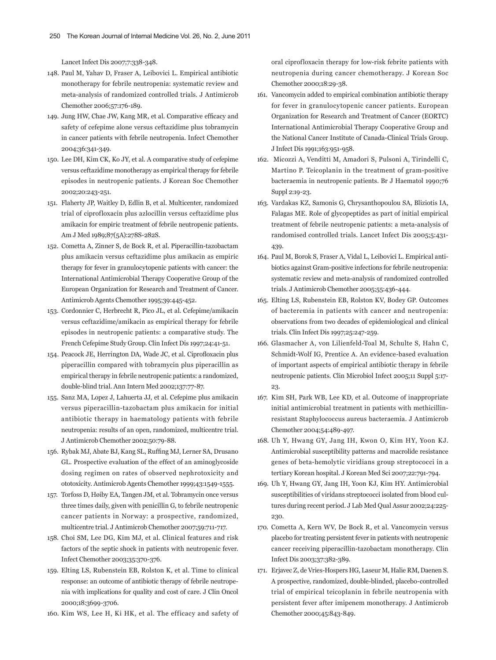Lancet Infect Dis 2007;7:338-348.

- 148. Paul M, Yahav D, Fraser A, Leibovici L. Empirical antibiotic monotherapy for febrile neutropenia: systematic review and meta-analysis of randomized controlled trials. J Antimicrob Chemother 2006;57:176-189.
- 149. Jung HW, Chae JW, Kang MR, et al. Comparative efficacy and safety of cefepime alone versus ceftazidime plus tobramycin in cancer patients with febrile neutropenia. Infect Chemother 2004;36:341-349.
- 150. Lee DH, Kim CK, Ko JY, et al. A comparative study of cefepime versus ceftazidime monotherapy as empirical therapy for febrile episodes in neutropenic patients. J Korean Soc Chemother 2002;20:243-251.
- 151. Flaherty JP, Waitley D, Edlin B, et al. Multicenter, randomized trial of ciprofloxacin plus azlocillin versus ceftazidime plus amikacin for empiric treatment of febrile neutropenic patients. Am J Med 1989;87(5A):278S-282S.
- 152. Cometta A, Zinner S, de Bock R, et al. Piperacillin-tazobactam plus amikacin versus ceftazidime plus amikacin as empiric therapy for fever in granulocytopenic patients with cancer: the International Antimicrobial Therapy Cooperative Group of the European Organization for Research and Treatment of Cancer. Antimicrob Agents Chemother 1995;39:445-452.
- 153. Cordonnier C, Herbrecht R, Pico JL, et al. Cefepime/amikacin versus ceftazidime/amikacin as empirical therapy for febrile episodes in neutropenic patients: a comparative study. The French Cefepime Study Group. Clin Infect Dis 1997;24:41-51.
- 154. Peacock JE, Herrington DA, Wade JC, et al. Ciprofloxacin plus piperacillin compared with tobramycin plus piperacillin as empirical therapy in febrile neutropenic patients: a randomized, double-blind trial. Ann Intern Med 2002;137:77-87.
- 155. Sanz MA, Lopez J, Lahuerta JJ, et al. Cefepime plus amikacin versus piperacillin-tazobactam plus amikacin for initial antibiotic therapy in haematology patients with febrile neutropenia: results of an open, randomized, multicentre trial. J Antimicrob Chemother 2002;50:79-88.
- 156. Rybak MJ, Abate BJ, Kang SL, Ruffing MJ, Lerner SA, Drusano GL. Prospective evaluation of the effect of an aminoglycoside dosing regimen on rates of observed nephrotoxicity and ototoxicity. Antimicrob Agents Chemother 1999;43:1549-1555.
- 157. Torfoss D, Høiby EA, Tangen JM, et al. Tobramycin once versus three times daily, given with penicillin G, to febrile neutropenic cancer patients in Norway: a prospective, randomized, multicentre trial. J Antimicrob Chemother 2007;59:711-717.
- 158. Choi SM, Lee DG, Kim MJ, et al. Clinical features and risk factors of the septic shock in patients with neutropenic fever. Infect Chemother 2003;35:370-376.
- 159. Elting LS, Rubenstein EB, Rolston K, et al. Time to clinical response: an outcome of antibiotic therapy of febrile neutropenia with implications for quality and cost of care. J Clin Oncol 2000;18:3699-3706.
- 160. Kim WS, Lee H, Ki HK, et al. The efficacy and safety of

oral ciprofloxacin therapy for low-risk febrite patients with neutropenia during cancer chemotherapy. J Korean Soc Chemother 2000;18:29-38.

- 161. Vancomycin added to empirical combination antibiotic therapy for fever in granulocytopenic cancer patients. European Organization for Research and Treatment of Cancer (EORTC) International Antimicrobial Therapy Cooperative Group and the National Cancer Institute of Canada-Clinical Trials Group. J Infect Dis 1991;163:951-958.
- 162. Micozzi A, Venditti M, Amadori S, Pulsoni A, Tirindelli C, Martino P. Teicoplanin in the treatment of gram-positive bacteraemia in neutropenic patients. Br J Haematol 1990;76 Suppl 2:19-23.
- 163. Vardakas KZ, Samonis G, Chrysanthopoulou SA, Bliziotis IA, Falagas ME. Role of glycopeptides as part of initial empirical treatment of febrile neutropenic patients: a meta-analysis of randomised controlled trials. Lancet Infect Dis 2005;5:431- 439.
- 164. Paul M, Borok S, Fraser A, Vidal L, Leibovici L. Empirical antibiotics against Gram-positive infections for febrile neutropenia: systematic review and meta-analysis of randomized controlled trials. J Antimicrob Chemother 2005;55:436-444.
- 165. Elting LS, Rubenstein EB, Rolston KV, Bodey GP. Outcomes of bacteremia in patients with cancer and neutropenia: observations from two decades of epidemiological and clinical trials. Clin Infect Dis 1997;25:247-259.
- 166. Glasmacher A, von Lilienfeld-Toal M, Schulte S, Hahn C, Schmidt-Wolf IG, Prentice A. An evidence-based evaluation of important aspects of empirical antibiotic therapy in febrile neutropenic patients. Clin Microbiol Infect 2005;11 Suppl 5:17- 23.
- 167. Kim SH, Park WB, Lee KD, et al. Outcome of inappropriate initial antimicrobial treatment in patients with methicillinresistant Staphylococcus aureus bacteraemia. J Antimicrob Chemother 2004;54:489-497.
- 168. Uh Y, Hwang GY, Jang IH, Kwon O, Kim HY, Yoon KJ. Antimicrobial susceptibility patterns and macrolide resistance genes of beta-hemolytic viridians group streptococci in a tertiary Korean hospital. J Korean Med Sci 2007;22:791-794.
- 169. Uh Y, Hwang GY, Jang IH, Yoon KJ, Kim HY. Antimicrobial susceptibilities of viridans streptococci isolated from blood cultures during recent period. J Lab Med Qual Assur 2002;24:225- 230.
- 170. Cometta A, Kern WV, De Bock R, et al. Vancomycin versus placebo for treating persistent fever in patients with neutropenic cancer receiving piperacillin-tazobactam monotherapy. Clin Infect Dis 2003;37:382-389.
- 171. Erjavec Z, de Vries-Hospers HG, Laseur M, Halie RM, Daenen S. A prospective, randomized, double-blinded, placebo-controlled trial of empirical teicoplanin in febrile neutropenia with persistent fever after imipenem monotherapy. J Antimicrob Chemother 2000;45:843-849.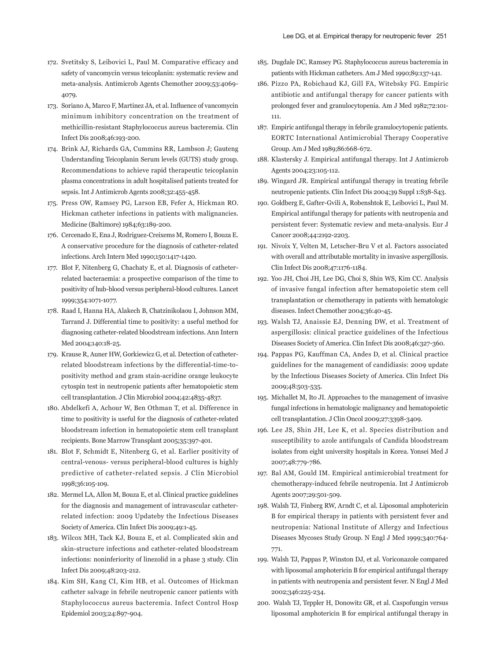- 172. Svetitsky S, Leibovici L, Paul M. Comparative efficacy and safety of vancomycin versus teicoplanin: systematic review and meta-analysis. Antimicrob Agents Chemother 2009;53:4069- 4079.
- 173. Soriano A, Marco F, Martinez JA, et al. Influence of vancomycin minimum inhibitory concentration on the treatment of methicillin-resistant Staphylococcus aureus bacteremia. Clin Infect Dis 2008;46:193-200.
- 174. Brink AJ, Richards GA, Cummins RR, Lambson J; Gauteng Understanding Teicoplanin Serum levels (GUTS) study group. Recommendations to achieve rapid therapeutic teicoplanin plasma concentrations in adult hospitalised patients treated for sepsis. Int J Antimicrob Agents 2008;32:455-458.
- 175. Press OW, Ramsey PG, Larson EB, Fefer A, Hickman RO. Hickman catheter infections in patients with malignancies. Medicine (Baltimore) 1984;63:189-200.
- 176. Cercenado E, Ena J, Rodriguez-Creixems M, Romero I, Bouza E. A conservative procedure for the diagnosis of catheter-related infections. Arch Intern Med 1990;150:1417-1420.
- 177. Blot F, Nitenberg G, Chachaty E, et al. Diagnosis of catheterrelated bacteraemia: a prospective comparison of the time to positivity of hub-blood versus peripheral-blood cultures. Lancet 1999;354:1071-1077.
- 178. Raad I, Hanna HA, Alakech B, Chatzinikolaou I, Johnson MM, Tarrand J. Differential time to positivity: a useful method for diagnosing catheter-related bloodstream infections. Ann Intern Med 2004;140:18-25.
- 179. Krause R, Auner HW, Gorkiewicz G, et al. Detection of catheterrelated bloodstream infections by the differential-time-topositivity method and gram stain-acridine orange leukocyte cytospin test in neutropenic patients after hematopoietic stem cell transplantation. J Clin Microbiol 2004;42:4835-4837.
- 180. Abdelkefi A, Achour W, Ben Othman T, et al. Difference in time to positivity is useful for the diagnosis of catheter-related bloodstream infection in hematopoietic stem cell transplant recipients. Bone Marrow Transplant 2005;35:397-401.
- 181. Blot F, Schmidt E, Nitenberg G, et al. Earlier positivity of central-venous- versus peripheral-blood cultures is highly predictive of catheter-related sepsis. J Clin Microbiol 1998;36:105-109.
- 182. Mermel LA, Allon M, Bouza E, et al. Clinical practice guidelines for the diagnosis and management of intravascular catheterrelated infection: 2009 Updateby the Infectious Diseases Society of America. Clin Infect Dis 2009;49:1-45.
- 183. Wilcox MH, Tack KJ, Bouza E, et al. Complicated skin and skin-structure infections and catheter-related bloodstream infections: noninferiority of linezolid in a phase 3 study. Clin Infect Dis 2009;48:203-212.
- 184. Kim SH, Kang CI, Kim HB, et al. Outcomes of Hickman catheter salvage in febrile neutropenic cancer patients with Staphylococcus aureus bacteremia. Infect Control Hosp Epidemiol 2003;24:897-904.
- 185. Dugdale DC, Ramsey PG. Staphylococcus aureus bacteremia in patients with Hickman catheters. Am J Med 1990;89:137-141.
- 186. Pizzo PA, Robichaud KJ, Gill FA, Witebsky FG. Empiric antibiotic and antifungal therapy for cancer patients with prolonged fever and granulocytopenia. Am J Med 1982;72:101- 111.
- 187. Empiric antifungal therapy in febrile granulocytopenic patients. EORTC International Antimicrobial Therapy Cooperative Group. Am J Med 1989;86:668-672.
- 188. Klastersky J. Empirical antifungal therapy. Int J Antimicrob Agents 2004;23:105-112.
- 189. Wingard JR. Empirical antifungal therapy in treating febrile neutropenic patients. Clin Infect Dis 2004;39 Suppl 1:S38-S43.
- 190. Goldberg E, Gafter-Gvili A, Robenshtok E, Leibovici L, Paul M. Empirical antifungal therapy for patients with neutropenia and persistent fever: Systematic review and meta-analysis. Eur J Cancer 2008;44:2192-2203.
- 191. Nivoix Y, Velten M, Letscher-Bru V et al. Factors associated with overall and attributable mortality in invasive aspergillosis. Clin Infect Dis 2008;47:1176-1184.
- 192. Yoo JH, Choi JH, Lee DG, Choi S, Shin WS, Kim CC. Analysis of invasive fungal infection after hematopoietic stem cell transplantation or chemotherapy in patients with hematologic diseases. Infect Chemother 2004;36:40-45.
- 193. Walsh TJ, Anaissie EJ, Denning DW, et al. Treatment of aspergillosis: clinical practice guidelines of the Infectious Diseases Society of America. Clin Infect Dis 2008;46:327-360.
- 194. Pappas PG, Kauffman CA, Andes D, et al. Clinical practice guidelines for the management of candidiasis: 2009 update by the Infectious Diseases Society of America. Clin Infect Dis 2009;48:503-535.
- 195. Michallet M, Ito JI. Approaches to the management of invasive fungal infections in hematologic malignancy and hematopoietic cell transplantation. J Clin Oncol 2009;27:3398-3409.
- 196. Lee JS, Shin JH, Lee K, et al. Species distribution and susceptibility to azole antifungals of Candida bloodstream isolates from eight university hospitals in Korea. Yonsei Med J 2007;48:779-786.
- 197. Bal AM, Gould IM. Empirical antimicrobial treatment for chemotherapy-induced febrile neutropenia. Int J Antimicrob Agents 2007;29:501-509.
- 198. Walsh TJ, Finberg RW, Arndt C, et al. Liposomal amphotericin B for empirical therapy in patients with persistent fever and neutropenia: National Institute of Allergy and Infectious Diseases Mycoses Study Group. N Engl J Med 1999;340:764- 771.
- 199. Walsh TJ, Pappas P, Winston DJ, et al. Voriconazole compared with liposomal amphotericin B for empirical antifungal therapy in patients with neutropenia and persistent fever. N Engl J Med 2002;346:225-234.
- 200. Walsh TJ, Teppler H, Donowitz GR, et al. Caspofungin versus liposomal amphotericin B for empirical antifungal therapy in